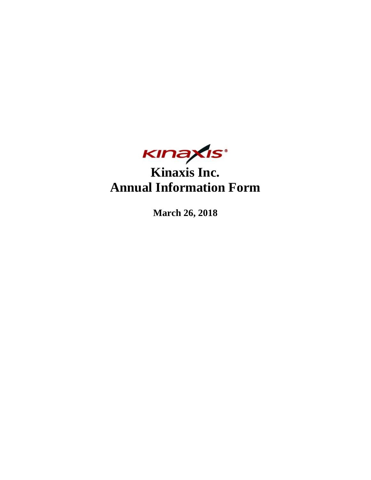**Kinaxis Inc.**

**Annual Information Form**

**March 26, 2018**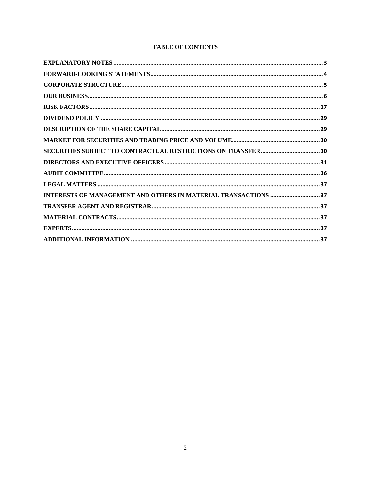# **TABLE OF CONTENTS**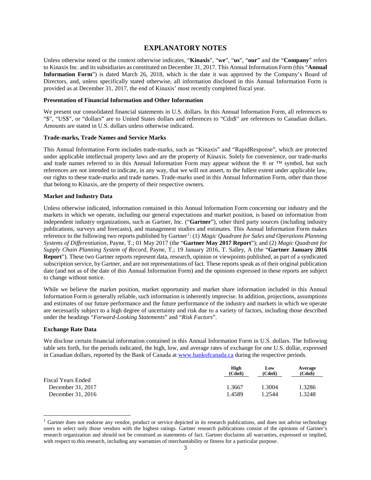# **EXPLANATORY NOTES**

<span id="page-2-0"></span>Unless otherwise noted or the context otherwise indicates, "**Kinaxis**", "**we**", "**us**", "**our**" and the "**Company**" refers to Kinaxis Inc. and its subsidiaries as constituted on December 31, 2017. This Annual Information Form (this "**Annual Information Form**") is dated March 26, 2018, which is the date it was approved by the Company's Board of Directors, and, unless specifically stated otherwise, all information disclosed in this Annual Information Form is provided as at December 31, 2017, the end of Kinaxis' most recently completed fiscal year.

#### **Presentation of Financial Information and Other Information**

We present our consolidated financial statements in U.S. dollars. In this Annual Information Form, all references to "\$", "US\$", or "dollars" are to United States dollars and references to "Cdn\$" are references to Canadian dollars. Amounts are stated in U.S. dollars unless otherwise indicated.

#### **Trade-marks, Trade Names and Service Marks**

This Annual Information Form includes trade-marks, such as "Kinaxis" and "RapidResponse", which are protected under applicable intellectual property laws and are the property of Kinaxis. Solely for convenience, our trade-marks and trade names referred to in this Annual Information Form may appear without the  $\circledR$  or ™ symbol, but such references are not intended to indicate, in any way, that we will not assert, to the fullest extent under applicable law, our rights to these trade-marks and trade names. Trade-marks used in this Annual Information Form, other than those that belong to Kinaxis, are the property of their respective owners.

#### **Market and Industry Data**

Unless otherwise indicated, information contained in this Annual Information Form concerning our industry and the markets in which we operate, including our general expectations and market position, is based on information from independent industry organizations, such as Gartner, Inc. ("**Gartner**"), other third party sources (including industry publications, surveys and forecasts), and management studies and estimates. This Annual Information Form makes reference to the following two reports published by Gartner<sup>[1](#page-2-1)</sup>: (1) Magic Quadrant for Sales and Operations Planning *Systems of Differentiation*, Payne, T.; 01 May 2017 (the "**Gartner May 2017 Report**"); and (2) *Magic Quadrant for Supply Chain Planning System of Record*, Payne, T.; 19 January 2016, T. Salley, A (the "**Gartner January 2016 Report**"). These two Gartner reports represent data, research, opinion or viewpoints published, as part of a syndicated subscription service, by Gartner, and are not representations of fact. These reports speak as of their original publication date (and not as of the date of this Annual Information Form) and the opinions expressed in these reports are subject to change without notice.

While we believe the market position, market opportunity and market share information included in this Annual Information Form is generally reliable, such information is inherently imprecise. In addition, projections, assumptions and estimates of our future performance and the future performance of the industry and markets in which we operate are necessarily subject to a high degree of uncertainty and risk due to a variety of factors, including those described under the headings "*Forward-Looking Statements*" and "*Risk Factors*".

#### **Exchange Rate Data**

We disclose certain financial information contained in this Annual Information Form in U.S. dollars. The following table sets forth, for the periods indicated, the high, low, and average rates of exchange for one U.S. dollar, expressed in Canadian dollars, reported by the Bank of Canada at www.bankofcanada.ca during the respective periods.

|                           | <b>High</b><br>(Cdn\$) | Low<br>(Cdn\$) | Average<br>(Cdn\$) |
|---------------------------|------------------------|----------------|--------------------|
| <b>Fiscal Years Ended</b> |                        |                |                    |
| December 31, 2017         | 1.3667                 | 1.3004         | 1.3286             |
| December 31, 2016         | 1.4589                 | 1.2544         | .3248              |

<span id="page-2-1"></span><sup>&</sup>lt;sup>1</sup> Gartner does not endorse any vendor, product or service depicted in its research publications, and does not advise technology users to select only those vendors with the highest ratings. Gartner research publications consist of the opinions of Gartner's research organization and should not be construed as statements of fact. Gartner disclaims all warranties, expressed or implied, with respect to this research, including any warranties of merchantability or fitness for a particular purpose.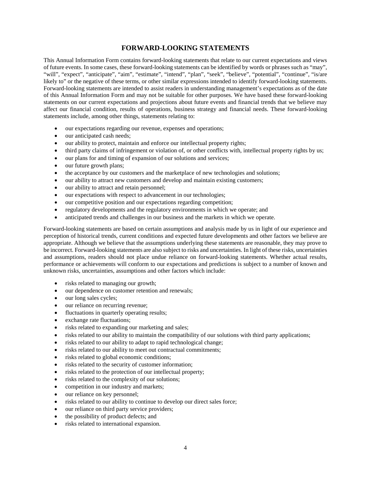# **FORWARD-LOOKING STATEMENTS**

<span id="page-3-0"></span>This Annual Information Form contains forward-looking statements that relate to our current expectations and views of future events. In some cases, these forward-looking statements can be identified by words or phrases such as "may", "will", "expect", "anticipate", "aim", "estimate", "intend", "plan", "seek", "believe", "potential", "continue", "is/are likely to" or the negative of these terms, or other similar expressions intended to identify forward-looking statements. Forward-looking statements are intended to assist readers in understanding management's expectations as of the date of this Annual Information Form and may not be suitable for other purposes. We have based these forward-looking statements on our current expectations and projections about future events and financial trends that we believe may affect our financial condition, results of operations, business strategy and financial needs. These forward-looking statements include, among other things, statements relating to:

- our expectations regarding our revenue, expenses and operations;
- our anticipated cash needs;
- our ability to protect, maintain and enforce our intellectual property rights;
- third party claims of infringement or violation of, or other conflicts with, intellectual property rights by us;
- our plans for and timing of expansion of our solutions and services;
- our future growth plans;
- the acceptance by our customers and the marketplace of new technologies and solutions;
- our ability to attract new customers and develop and maintain existing customers;
- our ability to attract and retain personnel;
- our expectations with respect to advancement in our technologies;
- our competitive position and our expectations regarding competition;
- regulatory developments and the regulatory environments in which we operate; and
- anticipated trends and challenges in our business and the markets in which we operate.

Forward-looking statements are based on certain assumptions and analysis made by us in light of our experience and perception of historical trends, current conditions and expected future developments and other factors we believe are appropriate. Although we believe that the assumptions underlying these statements are reasonable, they may prove to be incorrect. Forward-looking statements are also subject to risks and uncertainties. In light of these risks, uncertainties and assumptions, readers should not place undue reliance on forward-looking statements. Whether actual results, performance or achievements will conform to our expectations and predictions is subject to a number of known and unknown risks, uncertainties, assumptions and other factors which include:

- risks related to managing our growth;
- our dependence on customer retention and renewals;
- our long sales cycles;
- our reliance on recurring revenue;
- fluctuations in quarterly operating results;
- exchange rate fluctuations;
- risks related to expanding our marketing and sales;
- risks related to our ability to maintain the compatibility of our solutions with third party applications;
- risks related to our ability to adapt to rapid technological change;
- risks related to our ability to meet out contractual commitments;
- risks related to global economic conditions;
- risks related to the security of customer information;
- risks related to the protection of our intellectual property;
- risks related to the complexity of our solutions;
- competition in our industry and markets;
- our reliance on key personnel;
- risks related to our ability to continue to develop our direct sales force;
- our reliance on third party service providers;
- the possibility of product defects; and
- risks related to international expansion.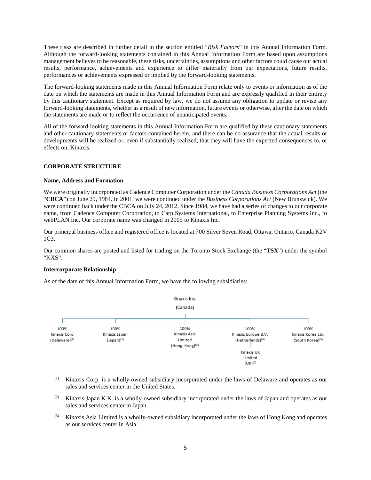These risks are described in further detail in the section entitled "*Risk Factors*" in this Annual Information Form. Although the forward-looking statements contained in this Annual Information Form are based upon assumptions management believes to be reasonable, these risks, uncertainties, assumptions and other factors could cause our actual results, performance, achievements and experience to differ materially from our expectations, future results, performances or achievements expressed or implied by the forward-looking statements.

The forward-looking statements made in this Annual Information Form relate only to events or information as of the date on which the statements are made in this Annual Information Form and are expressly qualified in their entirety by this cautionary statement. Except as required by law, we do not assume any obligation to update or revise any forward-looking statements, whether as a result of new information, future events or otherwise, after the date on which the statements are made or to reflect the occurrence of unanticipated events.

All of the forward-looking statements in this Annual Information Form are qualified by these cautionary statements and other cautionary statements or factors contained herein, and there can be no assurance that the actual results or developments will be realized or, even if substantially realized, that they will have the expected consequences to, or effects on, Kinaxis.

## <span id="page-4-0"></span>**CORPORATE STRUCTURE**

#### **Name, Address and Formation**

We were originally incorporated as Cadence Computer Corporation under the *Canada Business Corporations Act* (the "**CBCA**") on June 29, 1984. In 2001, we were continued under the *Business Corporations Act* (New Brunswick). We were continued back under the CBCA on July 24, 2012. Since 1984, we have had a series of changes to our corporate name, from Cadence Computer Corporation, to Carp Systems International, to Enterprise Planning Systems Inc., to webPLAN Inc. Our corporate name was changed in 2005 to Kinaxis Inc.

Our principal business office and registered office is located at 700 Silver Seven Road, Ottawa, Ontario, Canada K2V 1C3.

Our common shares are posted and listed for trading on the Toronto Stock Exchange (the "**TSX**") under the symbol "KXS".

#### **Intercorporate Relationship**

As of the date of this Annual Information Form, we have the following subsidiaries:



- (1) Kinaxis Corp. is a wholly-owned subsidiary incorporated under the laws of Delaware and operates as our sales and services center in the United States.
- (2) Kinaxis Japan K.K. is a wholly-owned subsidiary incorporated under the laws of Japan and operates as our sales and services center in Japan.
- $^{(3)}$  Kinaxis Asia Limited is a wholly-owned subsidiary incorporated under the laws of Hong Kong and operates as our services center in Asia.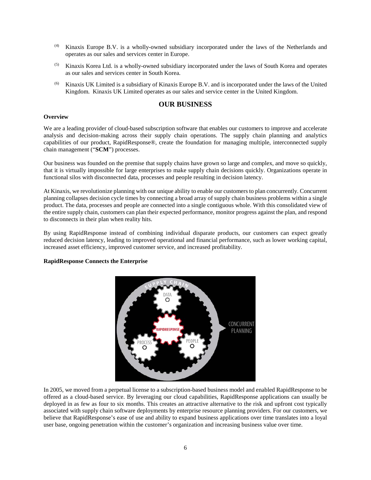- (4) Kinaxis Europe B.V. is a wholly-owned subsidiary incorporated under the laws of the Netherlands and operates as our sales and services center in Europe.
- $<sup>(5)</sup>$  Kinaxis Korea Ltd. is a wholly-owned subsidiary incorporated under the laws of South Korea and operates</sup> as our sales and services center in South Korea.
- <span id="page-5-0"></span>(6) Kinaxis UK Limited is a subsidiary of Kinaxis Europe B.V. and is incorporated under the laws of the United Kingdom. Kinaxis UK Limited operates as our sales and service center in the United Kingdom.

# **OUR BUSINESS**

## **Overview**

We are a leading provider of cloud-based subscription software that enables our customers to improve and accelerate analysis and decision-making across their supply chain operations. The supply chain planning and analytics capabilities of our product, RapidResponse®, create the foundation for managing multiple, interconnected supply chain management ("**SCM**") processes.

Our business was founded on the premise that supply chains have grown so large and complex, and move so quickly, that it is virtually impossible for large enterprises to make supply chain decisions quickly. Organizations operate in functional silos with disconnected data, processes and people resulting in decision latency.

At Kinaxis, we revolutionize planning with our unique ability to enable our customers to plan concurrently. Concurrent planning collapses decision cycle times by connecting a broad array of supply chain business problems within a single product. The data, processes and people are connected into a single contiguous whole. With this consolidated view of the entire supply chain, customers can plan their expected performance, monitor progress against the plan, and respond to disconnects in their plan when reality hits.

By using RapidResponse instead of combining individual disparate products, our customers can expect greatly reduced decision latency, leading to improved operational and financial performance, such as lower working capital, increased asset efficiency, improved customer service, and increased profitability.

#### **RapidResponse Connects the Enterprise**



In 2005, we moved from a perpetual license to a subscription-based business model and enabled RapidResponse to be offered as a cloud-based service. By leveraging our cloud capabilities, RapidResponse applications can usually be deployed in as few as four to six months. This creates an attractive alternative to the risk and upfront cost typically associated with supply chain software deployments by enterprise resource planning providers. For our customers, we believe that RapidResponse's ease of use and ability to expand business applications over time translates into a loyal user base, ongoing penetration within the customer's organization and increasing business value over time.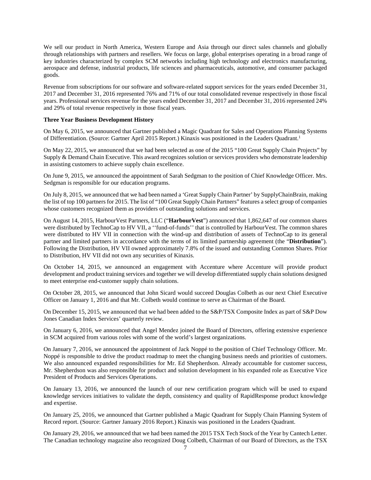We sell our product in North America, Western Europe and Asia through our direct sales channels and globally through relationships with partners and resellers. We focus on large, global enterprises operating in a broad range of key industries characterized by complex SCM networks including high technology and electronics manufacturing, aerospace and defense, industrial products, life sciences and pharmaceuticals, automotive, and consumer packaged goods.

Revenue from subscriptions for our software and software-related support services for the years ended December 31, 2017 and December 31, 2016 represented 76% and 71% of our total consolidated revenue respectively in those fiscal years. Professional services revenue for the years ended December 31, 2017 and December 31, 2016 represented 24% and 29% of total revenue respectively in those fiscal years.

## **Three Year Business Development History**

On May 6, 2015, we announced that Gartner published a Magic Quadrant for Sales and Operations Planning Systems of Differentiation. (Source: Gartner April 2015 Report.) Kinaxis was positioned in the Leaders Quadrant.<sup>1</sup>

On May 22, 2015, we announced that we had been selected as one of the 2015 "100 Great Supply Chain Projects" by Supply & Demand Chain Executive. This award recognizes solution or services providers who demonstrate leadership in assisting customers to achieve supply chain excellence.

On June 9, 2015, we announced the appointment of Sarah Sedgman to the position of Chief Knowledge Officer. Mrs. Sedgman is responsible for our education programs.

On July 8, 2015, we announced that we had been named a 'Great Supply Chain Partner' by SupplyChainBrain, making the list of top 100 partners for 2015. The list of "100 Great Supply Chain Partners" features a select group of companies whose customers recognized them as providers of outstanding solutions and services.

On August 14, 2015, HarbourVest Partners, LLC ("**HarbourVest**") announced that 1,862,647 of our common shares were distributed by TechnoCap to HV VII, a ''fund-of-funds'' that is controlled by HarbourVest. The common shares were distributed to HV VII in connection with the wind-up and distribution of assets of TechnoCap to its general partner and limited partners in accordance with the terms of its limited partnership agreement (the "**Distribution**"). Following the Distribution, HV VII owned approximately 7.8% of the issued and outstanding Common Shares. Prior to Distribution, HV VII did not own any securities of Kinaxis.

On October 14, 2015, we announced an engagement with Accenture where Accenture will provide product development and product training services and together we will develop differentiated supply chain solutions designed to meet enterprise end-customer supply chain solutions.

On October 28, 2015, we announced that John Sicard would succeed Douglas Colbeth as our next Chief Executive Officer on January 1, 2016 and that Mr. Colbeth would continue to serve as Chairman of the Board.

On December 15, 2015, we announced that we had been added to the S&P/TSX Composite Index as part of S&P Dow Jones Canadian Index Services' quarterly review.

On January 6, 2016, we announced that Angel Mendez joined the Board of Directors, offering extensive experience in SCM acquired from various roles with some of the world's largest organizations.

On January 7, 2016, we announced the appointment of Jack Noppé to the position of Chief Technology Officer. Mr. Noppé is responsible to drive the product roadmap to meet the changing business needs and priorities of customers. We also announced expanded responsibilities for Mr. Ed Shepherdson. Already accountable for customer success, Mr. Shepherdson was also responsible for product and solution development in his expanded role as Executive Vice President of Products and Services Operations.

On January 13, 2016, we announced the launch of our new certification program which will be used to expand knowledge services initiatives to validate the depth, consistency and quality of RapidResponse product knowledge and expertise.

On January 25, 2016, we announced that Gartner published a Magic Quadrant for Supply Chain Planning System of Record report. (Source: Gartner January 2016 Report.) Kinaxis was positioned in the Leaders Quadrant.

On January 29, 2016, we announced that we had been named the 2015 TSX Tech Stock of the Year by Cantech Letter. The Canadian technology magazine also recognized Doug Colbeth, Chairman of our Board of Directors, as the TSX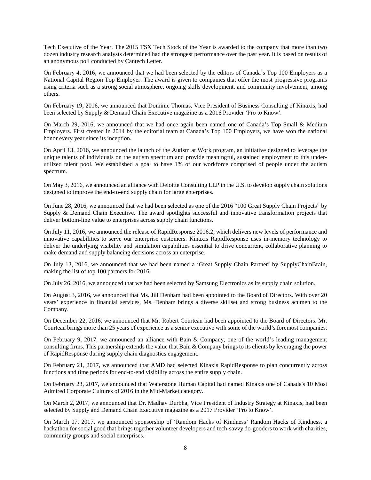Tech Executive of the Year. The 2015 TSX Tech Stock of the Year is awarded to the company that more than two dozen industry research analysts determined had the strongest performance over the past year. It is based on results of an anonymous poll conducted by Cantech Letter.

On February 4, 2016, we announced that we had been selected by the editors of Canada's Top 100 Employers as a National Capital Region Top Employer. The award is given to companies that offer the most progressive programs using criteria such as a strong social atmosphere, ongoing skills development, and community involvement, among others.

On February 19, 2016, we announced that Dominic Thomas, Vice President of Business Consulting of Kinaxis, had been selected by Supply & Demand Chain Executive magazine as a 2016 Provider 'Pro to Know'.

On March 29, 2016, we announced that we had once again been named one of Canada's Top Small & Medium Employers. First created in 2014 by the editorial team at Canada's Top 100 Employers, we have won the national honor every year since its inception.

On April 13, 2016, we announced the launch of the Autism at Work program, an initiative designed to leverage the unique talents of individuals on the autism spectrum and provide meaningful, sustained employment to this underutilized talent pool. We established a goal to have 1% of our workforce comprised of people under the autism spectrum.

On May 3, 2016, we announced an alliance with Deloitte Consulting LLP in the U.S. to develop supply chain solutions designed to improve the end-to-end supply chain for large enterprises.

On June 28, 2016, we announced that we had been selected as one of the 2016 "100 Great Supply Chain Projects" by Supply & Demand Chain Executive. The award spotlights successful and innovative transformation projects that deliver bottom-line value to enterprises across supply chain functions.

On July 11, 2016, we announced the release of RapidResponse 2016.2, which delivers new levels of performance and innovative capabilities to serve our enterprise customers. Kinaxis RapidResponse uses in-memory technology to deliver the underlying visibility and simulation capabilities essential to drive concurrent, collaborative planning to make demand and supply balancing decisions across an enterprise.

On July 13, 2016, we announced that we had been named a 'Great Supply Chain Partner' by SupplyChainBrain, making the list of top 100 partners for 2016.

On July 26, 2016, we announced that we had been selected by Samsung Electronics as its supply chain solution.

On August 3, 2016, we announced that Ms. Jill Denham had been appointed to the Board of Directors. With over 20 years' experience in financial services, Ms. Denham brings a diverse skillset and strong business acumen to the Company.

On December 22, 2016, we announced that Mr. Robert Courteau had been appointed to the Board of Directors. Mr. Courteau brings more than 25 years of experience as a senior executive with some of the world's foremost companies.

On February 9, 2017, we announced an alliance with Bain & Company, one of the world's leading management consulting firms. This partnership extends the value that Bain & Company brings to its clients by leveraging the power of RapidResponse during supply chain diagnostics engagement.

On February 21, 2017, we announced that AMD had selected Kinaxis RapidResponse to plan concurrently across functions and time periods for end-to-end visibility across the entire supply chain.

On February 23, 2017, we announced that Waterstone Human Capital had named Kinaxis one of Canada's 10 Most Admired Corporate Cultures of 2016 in the Mid-Market category.

On March 2, 2017, we announced that Dr. Madhav Durbha, Vice President of Industry Strategy at Kinaxis, had been selected by Supply and Demand Chain Executive magazine as a 2017 Provider 'Pro to Know'.

On March 07, 2017, we announced sponsorship of 'Random Hacks of Kindness' Random Hacks of Kindness, a hackathon for social good that brings together volunteer developers and tech-savvy do-gooders to work with charities, community groups and social enterprises.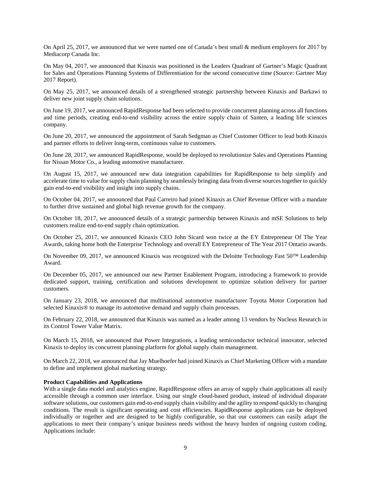On April 25, 2017, we announced that we were named one of Canada's best small & medium employers for 2017 by Mediacorp Canada Inc.

On May 04, 2017, we announced that Kinaxis was positioned in the Leaders Quadrant of Gartner's Magic Quadrant for Sales and Operations Planning Systems of Differentiation for the second consecutive time (Source: Gartner May 2017 Report).

On May 25, 2017, we announced details of a strengthened strategic partnership between Kinaxis and Barkawi to deliver new joint supply chain solutions.

On June 19, 2017, we announced RapidResponse had been selected to provide concurrent planning across all functions and time periods, creating end-to-end visibility across the entire supply chain of Santen, a leading life sciences company.

On June 20, 2017, we announced the appointment of Sarah Sedgman as Chief Customer Officer to lead both Kinaxis and partner efforts to deliver long-term, continuous value to customers.

On June 28, 2017, we announced RapidResponse, would be deployed to revolutionize Sales and Operations Planning for Nissan Motor Co., a leading automotive manufacturer.

On August 15, 2017, we announced new data integration capabilities for RapidResponse to help simplify and accelerate time to value for supply chain planning by seamlessly bringing data from diverse sources together to quickly gain end-to-end visibility and insight into supply chains.

On October 04, 2017, we announced that Paul Carreiro had joined Kinaxis as Chief Revenue Officer with a mandate to further drive sustained and global high revenue growth for the company.

On October 18, 2017, we announced details of a strategic partnership between Kinaxis and mSE Solutions to help customers realize end-to-end supply chain optimization.

On October 25, 2017, we announced Kinaxis CEO John Sicard won twice at the EY Entrepreneur Of The Year Awards, taking home both the Enterprise Technology and overall EY Entrepreneur of The Year 2017 Ontario awards.

On November 09, 2017, we announced Kinaxis was recognized with the Deloitte Technology Fast 50™ Leadership Award.

On December 05, 2017, we announced our new Partner Enablement Program, introducing a framework to provide dedicated support, training, certification and solutions development to optimize solution delivery for partner customers.

On January 23, 2018, we announced that multinational automotive manufacturer Toyota Motor Corporation had selected Kinaxis® to manage its automotive demand and supply chain processes.

On February 22, 2018, we announced that Kinaxis was named as a leader among 13 vendors by Nucleus Research in its Control Tower Value Matrix.

On March 15, 2018, we announced that Power Integrations, a leading semiconductor technical innovator, selected Kinaxis to deploy its concurrent planning platform for global supply chain management.

On March 22, 2018, we announced that Jay Muelhoefer had joined Kinaxis as Chief Marketing Officer with a mandate to define and implement global marketing strategy.

#### **Product Capabilities and Applications**

With a single data model and analytics engine, RapidResponse offers an array of supply chain applications all easily accessible through a common user interface. Using our single cloud-based product, instead of individual disparate software solutions, our customers gain end-to-end supply chain visibility and the agility to respond quickly to changing conditions. The result is significant operating and cost efficiencies. RapidResponse applications can be deployed individually or together and are designed to be highly configurable, so that our customers can easily adapt the applications to meet their company's unique business needs without the heavy burden of ongoing custom coding. Applications include: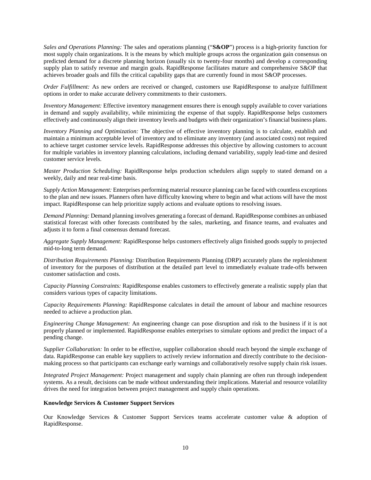*Sales and Operations Planning:* The sales and operations planning ("**S&OP**") process is a high-priority function for most supply chain organizations. It is the means by which multiple groups across the organization gain consensus on predicted demand for a discrete planning horizon (usually six to twenty-four months) and develop a corresponding supply plan to satisfy revenue and margin goals. RapidResponse facilitates mature and comprehensive S&OP that achieves broader goals and fills the critical capability gaps that are currently found in most S&OP processes.

*Order Fulfillment:* As new orders are received or changed, customers use RapidResponse to analyze fulfillment options in order to make accurate delivery commitments to their customers.

*Inventory Management:* Effective inventory management ensures there is enough supply available to cover variations in demand and supply availability, while minimizing the expense of that supply. RapidResponse helps customers effectively and continuously align their inventory levels and budgets with their organization's financial business plans.

*Inventory Planning and Optimization:* The objective of effective inventory planning is to calculate, establish and maintain a minimum acceptable level of inventory and to eliminate any inventory (and associated costs) not required to achieve target customer service levels. RapidResponse addresses this objective by allowing customers to account for multiple variables in inventory planning calculations, including demand variability, supply lead-time and desired customer service levels.

*Master Production Scheduling:* RapidResponse helps production schedulers align supply to stated demand on a weekly, daily and near real-time basis.

*Supply Action Management:* Enterprises performing material resource planning can be faced with countless exceptions to the plan and new issues. Planners often have difficulty knowing where to begin and what actions will have the most impact. RapidResponse can help prioritize supply actions and evaluate options to resolving issues.

*Demand Planning:* Demand planning involves generating a forecast of demand. RapidResponse combines an unbiased statistical forecast with other forecasts contributed by the sales, marketing, and finance teams, and evaluates and adjusts it to form a final consensus demand forecast.

*Aggregate Supply Management:* RapidResponse helps customers effectively align finished goods supply to projected mid-to-long term demand.

*Distribution Requirements Planning:* Distribution Requirements Planning (DRP) accurately plans the replenishment of inventory for the purposes of distribution at the detailed part level to immediately evaluate trade-offs between customer satisfaction and costs.

*Capacity Planning Constraints:* RapidResponse enables customers to effectively generate a realistic supply plan that considers various types of capacity limitations.

*Capacity Requirements Planning:* RapidResponse calculates in detail the amount of labour and machine resources needed to achieve a production plan.

*Engineering Change Management:* An engineering change can pose disruption and risk to the business if it is not properly planned or implemented. RapidResponse enables enterprises to simulate options and predict the impact of a pending change.

*Supplier Collaboration:* In order to be effective, supplier collaboration should reach beyond the simple exchange of data. RapidResponse can enable key suppliers to actively review information and directly contribute to the decisionmaking process so that participants can exchange early warnings and collaboratively resolve supply chain risk issues.

*Integrated Project Management:* Project management and supply chain planning are often run through independent systems. As a result, decisions can be made without understanding their implications. Material and resource volatility drives the need for integration between project management and supply chain operations.

## **Knowledge Services & Customer Support Services**

Our Knowledge Services & Customer Support Services teams accelerate customer value & adoption of RapidResponse.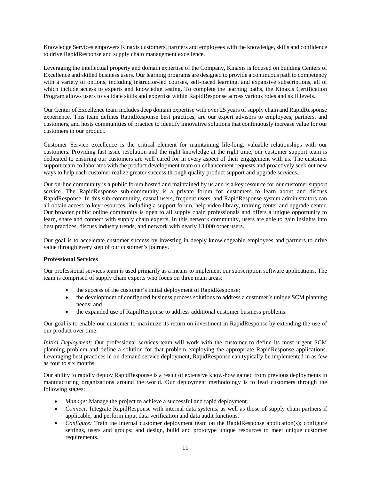Knowledge Services empowers Kinaxis customers, partners and employees with the knowledge, skills and confidence to drive RapidResponse and supply chain management excellence.

Leveraging the intellectual property and domain expertise of the Company, Kinaxis is focused on building Centers of Excellence and skilled business users. Our learning programs are designed to provide a continuous path to competency with a variety of options, including instructor-led courses, self-paced learning, and expansive subscriptions, all of which include access to experts and knowledge testing. To complete the learning paths, the Kinaxis Certification Program allows users to validate skills and expertise within RapidResponse across various roles and skill levels.

Our Center of Excellence team includes deep domain expertise with over 25 years of supply chain and RapidResponse experience. This team defines RapidResponse best practices, are our expert advisors to employees, partners, and customers, and hosts communities of practice to identify innovative solutions that continuously increase value for our customers in our product.

Customer Service excellence is the critical element for maintaining life-long, valuable relationships with our customers. Providing fast issue resolution and the right knowledge at the right time, our customer support team is dedicated to ensuring our customers are well cared for in every aspect of their engagement with us. The customer support team collaborates with the product development team on enhancement requests and proactively seek out new ways to help each customer realize greater success through quality product support and upgrade services.

Our on-line community is a public forum hosted and maintained by us and is a key resource for our customer support service. The RapidResponse sub-community is a private forum for customers to learn about and discuss RapidResponse. In this sub-community, casual users, frequent users, and RapidResponse system administrators can all obtain access to key resources, including a support forum, help video library, training center and upgrade center. Our broader public online community is open to all supply chain professionals and offers a unique opportunity to learn, share and connect with supply chain experts. In this network community, users are able to gain insights into best practices, discuss industry trends, and network with nearly 13,000 other users.

Our goal is to accelerate customer success by investing in deeply knowledgeable employees and partners to drive value through every step of our customer's journey.

#### **Professional Services**

Our professional services team is used primarily as a means to implement our subscription software applications. The team is comprised of supply chain experts who focus on three main areas:

- the success of the customer's initial deployment of RapidResponse;
- the development of configured business process solutions to address a customer's unique SCM planning needs; and
- the expanded use of RapidResponse to address additional customer business problems.

Our goal is to enable our customer to maximize its return on investment in RapidResponse by extending the use of our product over time.

*Initial Deployment:* Our professional services team will work with the customer to define its most urgent SCM planning problem and define a solution for that problem employing the appropriate RapidResponse applications. Leveraging best practices in on-demand service deployment, RapidResponse can typically be implemented in as few as four to six months.

Our ability to rapidly deploy RapidResponse is a result of extensive know-how gained from previous deployments in manufacturing organizations around the world. Our deployment methodology is to lead customers through the following stages:

- *Manage:* Manage the project to achieve a successful and rapid deployment.
- *Connect:* Integrate RapidResponse with internal data systems, as well as those of supply chain partners if applicable, and perform input data verification and data audit functions.
- *Configure:* Train the internal customer deployment team on the RapidResponse application(s); configure settings, users and groups; and design, build and prototype unique resources to meet unique customer requirements.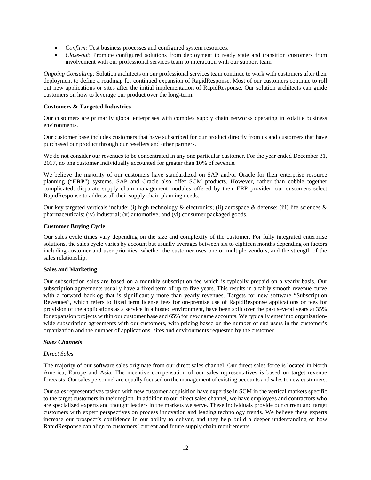- *Confirm:* Test business processes and configured system resources.
- *Close-out*: Promote configured solutions from deployment to ready state and transition customers from involvement with our professional services team to interaction with our support team.

*Ongoing Consulting:* Solution architects on our professional services team continue to work with customers after their deployment to define a roadmap for continued expansion of RapidResponse. Most of our customers continue to roll out new applications or sites after the initial implementation of RapidResponse. Our solution architects can guide customers on how to leverage our product over the long-term.

## **Customers & Targeted Industries**

Our customers are primarily global enterprises with complex supply chain networks operating in volatile business environments.

Our customer base includes customers that have subscribed for our product directly from us and customers that have purchased our product through our resellers and other partners.

We do not consider our revenues to be concentrated in any one particular customer. For the year ended December 31, 2017, no one customer individually accounted for greater than 10% of revenue.

We believe the majority of our customers have standardized on SAP and/or Oracle for their enterprise resource planning ("**ERP**") systems. SAP and Oracle also offer SCM products. However, rather than cobble together complicated, disparate supply chain management modules offered by their ERP provider, our customers select RapidResponse to address all their supply chain planning needs.

Our key targeted verticals include: (i) high technology  $\&$  electronics; (ii) aerospace  $\&$  defense; (iii) life sciences  $\&$ pharmaceuticals; (iv) industrial; (v) automotive; and (vi) consumer packaged goods.

## **Customer Buying Cycle**

Our sales cycle times vary depending on the size and complexity of the customer. For fully integrated enterprise solutions, the sales cycle varies by account but usually averages between six to eighteen months depending on factors including customer and user priorities, whether the customer uses one or multiple vendors, and the strength of the sales relationship.

#### **Sales and Marketing**

Our subscription sales are based on a monthly subscription fee which is typically prepaid on a yearly basis. Our subscription agreements usually have a fixed term of up to five years. This results in a fairly smooth revenue curve with a forward backlog that is significantly more than yearly revenues. Targets for new software "Subscription Revenues", which refers to fixed term license fees for on-premise use of RapidResponse applications or fees for provision of the applications as a service in a hosted environment, have been split over the past several years at 35% for expansion projects within our customer base and 65% for new name accounts. We typically enter into organizationwide subscription agreements with our customers, with pricing based on the number of end users in the customer's organization and the number of applications, sites and environments requested by the customer.

#### *Sales Channels*

#### *Direct Sales*

The majority of our software sales originate from our direct sales channel. Our direct sales force is located in North America, Europe and Asia. The incentive compensation of our sales representatives is based on target revenue forecasts. Our sales personnel are equally focused on the management of existing accounts and sales to new customers.

Our sales representatives tasked with new customer acquisition have expertise in SCM in the vertical markets specific to the target customers in their region. In addition to our direct sales channel, we have employees and contractors who are specialized experts and thought leaders in the markets we serve. These individuals provide our current and target customers with expert perspectives on process innovation and leading technology trends. We believe these experts increase our prospect's confidence in our ability to deliver, and they help build a deeper understanding of how RapidResponse can align to customers' current and future supply chain requirements.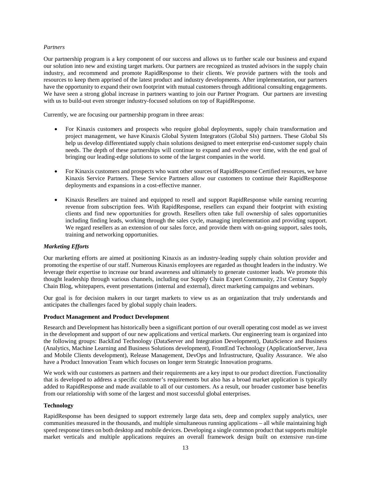#### *Partners*

Our partnership program is a key component of our success and allows us to further scale our business and expand our solution into new and existing target markets. Our partners are recognized as trusted advisors in the supply chain industry, and recommend and promote RapidResponse to their clients. We provide partners with the tools and resources to keep them apprised of the latest product and industry developments. After implementation, our partners have the opportunity to expand their own footprint with mutual customers through additional consulting engagements. We have seen a strong global increase in partners wanting to join our Partner Program. Our partners are investing with us to build-out even stronger industry-focused solutions on top of RapidResponse.

Currently, we are focusing our partnership program in three areas:

- For Kinaxis customers and prospects who require global deployments, supply chain transformation and project management, we have Kinaxis Global System Integrators (Global SIs) partners. These Global SIs help us develop differentiated supply chain solutions designed to meet enterprise end-customer supply chain needs. The depth of these partnerships will continue to expand and evolve over time, with the end goal of bringing our leading-edge solutions to some of the largest companies in the world.
- For Kinaxis customers and prospects who want other sources of RapidResponse Certified resources, we have Kinaxis Service Partners. These Service Partners allow our customers to continue their RapidResponse deployments and expansions in a cost-effective manner.
- Kinaxis Resellers are trained and equipped to resell and support RapidResponse while earning recurring revenue from subscription fees. With RapidResponse, resellers can expand their footprint with existing clients and find new opportunities for growth. Resellers often take full ownership of sales opportunities including finding leads, working through the sales cycle, managing implementation and providing support. We regard resellers as an extension of our sales force, and provide them with on-going support, sales tools, training and networking opportunities.

## *Marketing Efforts*

Our marketing efforts are aimed at positioning Kinaxis as an industry-leading supply chain solution provider and promoting the expertise of our staff. Numerous Kinaxis employees are regarded as thought leaders in the industry. We leverage their expertise to increase our brand awareness and ultimately to generate customer leads. We promote this thought leadership through various channels, including our Supply Chain Expert Community, 21st Century Supply Chain Blog, whitepapers, event presentations (internal and external), direct marketing campaigns and webinars.

Our goal is for decision makers in our target markets to view us as an organization that truly understands and anticipates the challenges faced by global supply chain leaders.

#### **Product Management and Product Development**

Research and Development has historically been a significant portion of our overall operating cost model as we invest in the development and support of our new applications and vertical markets. Our engineering team is organized into the following groups: BackEnd Technology (DataServer and Integration Development), DataScience and Business (Analytics, Machine Learning and Business Solutions development), FrontEnd Technology (ApplicationServer, Java and Mobile Clients development), Release Management, DevOps and Infrastructure, Quality Assurance. We also have a Product Innovation Team which focuses on longer term Strategic Innovation programs.

We work with our customers as partners and their requirements are a key input to our product direction. Functionality that is developed to address a specific customer's requirements but also has a broad market application is typically added to RapidResponse and made available to all of our customers. As a result, our broader customer base benefits from our relationship with some of the largest and most successful global enterprises.

#### **Technology**

RapidResponse has been designed to support extremely large data sets, deep and complex supply analytics, user communities measured in the thousands, and multiple simultaneous running applications – all while maintaining high speed response times on both desktop and mobile devices. Developing a single common product that supports multiple market verticals and multiple applications requires an overall framework design built on extensive run-time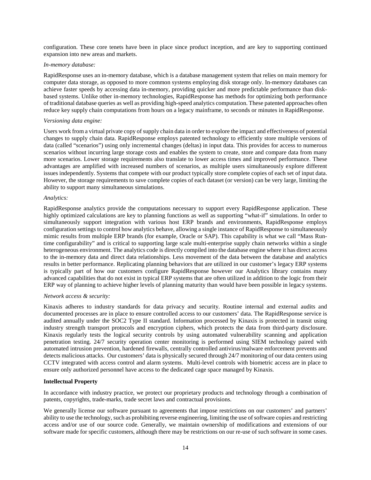configuration. These core tenets have been in place since product inception, and are key to supporting continued expansion into new areas and markets.

#### *In-memory database:*

RapidResponse uses an in-memory database, which is a database management system that relies on main memory for computer data storage, as opposed to more common systems employing disk storage only. In-memory databases can achieve faster speeds by accessing data in-memory, providing quicker and more predictable performance than diskbased systems. Unlike other in-memory technologies, RapidResponse has methods for optimizing both performance of traditional database queries as well as providing high-speed analytics computation. These patented approaches often reduce key supply chain computations from hours on a legacy mainframe, to seconds or minutes in RapidResponse.

## *Versioning data engine:*

Users work from a virtual private copy of supply chain data in order to explore the impact and effectiveness of potential changes to supply chain data. RapidResponse employs patented technology to efficiently store multiple versions of data (called "scenarios") using only incremental changes (deltas) in input data. This provides for access to numerous scenarios without incurring large storage costs and enables the system to create, store and compare data from many more scenarios. Lower storage requirements also translate to lower access times and improved performance. These advantages are amplified with increased numbers of scenarios, as multiple users simultaneously explore different issues independently. Systems that compete with our product typically store complete copies of each set of input data. However, the storage requirements to save complete copies of each dataset (or version) can be very large, limiting the ability to support many simultaneous simulations.

## *Analytics:*

RapidResponse analytics provide the computations necessary to support every RapidResponse application. These highly optimized calculations are key to planning functions as well as supporting "what-if" simulations. In order to simultaneously support integration with various host ERP brands and environments, RapidResponse employs configuration settings to control how analytics behave, allowing a single instance of RapidResponse to simultaneously mimic results from multiple ERP brands (for example, Oracle or SAP). This capability is what we call "Mass Runtime configurability" and is critical to supporting large scale multi-enterprise supply chain networks within a single heterogeneous environment. The analytics code is directly compiled into the database engine where it has direct access to the in-memory data and direct data relationships. Less movement of the data between the database and analytics results in better performance. Replicating planning behaviors that are utilized in our customer's legacy ERP systems is typically part of how our customers configure RapidResponse however our Analytics library contains many advanced capabilities that do not exist in typical ERP systems that are often utilized in addition to the logic from their ERP way of planning to achieve higher levels of planning maturity than would have been possible in legacy systems.

#### *Network access & security:*

Kinaxis adheres to industry standards for data privacy and security. Routine internal and external audits and documented processes are in place to ensure controlled access to our customers' data. The RapidResponse service is audited annually under the SOC2 Type II standard. Information processed by Kinaxis is protected in transit using industry strength transport protocols and encryption ciphers, which protects the data from third-party disclosure. Kinaxis regularly tests the logical security controls by using automated vulnerability scanning and application penetration testing. 24/7 security operation center monitoring is performed using SIEM technology paired with automated intrusion prevention, hardened firewalls, centrally controlled antivirus/malware enforcement prevents and detects malicious attacks. Our customers' data is physically secured through 24/7 monitoring of our data centers using CCTV integrated with access control and alarm systems. Multi-level controls with biometric access are in place to ensure only authorized personnel have access to the dedicated cage space managed by Kinaxis.

## **Intellectual Property**

In accordance with industry practice, we protect our proprietary products and technology through a combination of patents, copyrights, trade-marks, trade secret laws and contractual provisions.

We generally license our software pursuant to agreements that impose restrictions on our customers' and partners' ability to use the technology, such as prohibiting reverse engineering, limiting the use of software copies and restricting access and/or use of our source code. Generally, we maintain ownership of modifications and extensions of our software made for specific customers, although there may be restrictions on our re-use of such software in some cases.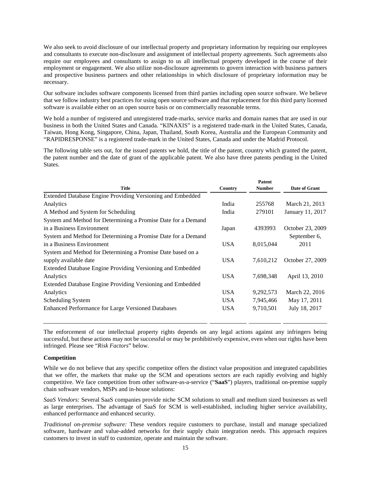We also seek to avoid disclosure of our intellectual property and proprietary information by requiring our employees and consultants to execute non-disclosure and assignment of intellectual property agreements. Such agreements also require our employees and consultants to assign to us all intellectual property developed in the course of their employment or engagement. We also utilize non-disclosure agreements to govern interaction with business partners and prospective business partners and other relationships in which disclosure of proprietary information may be necessary.

Our software includes software components licensed from third parties including open source software. We believe that we follow industry best practices for using open source software and that replacement for this third party licensed software is available either on an open source basis or on commercially reasonable terms.

We hold a number of registered and unregistered trade-marks, service marks and domain names that are used in our business in both the United States and Canada. "KINAXIS" is a registered trade-mark in the United States, Canada, Taiwan, Hong Kong, Singapore, China, Japan, Thailand, South Korea, Australia and the European Community and "RAPIDRESPONSE" is a registered trade-mark in the United States, Canada and under the Madrid Protocol.

The following table sets out, for the issued patents we hold, the title of the patent, country which granted the patent, the patent number and the date of grant of the applicable patent. We also have three patents pending in the United States.

|                                                               |            | <b>Patent</b> |                  |
|---------------------------------------------------------------|------------|---------------|------------------|
| <b>Title</b>                                                  | Country    | <b>Number</b> | Date of Grant    |
| Extended Database Engine Providing Versioning and Embedded    |            |               |                  |
| Analytics                                                     | India      | 255768        | March 21, 2013   |
| A Method and System for Scheduling                            | India      | 279101        | January 11, 2017 |
| System and Method for Determining a Promise Date for a Demand |            |               |                  |
| in a Business Environment                                     | Japan      | 4393993       | October 23, 2009 |
| System and Method for Determining a Promise Date for a Demand |            |               | September 6,     |
| in a Business Environment                                     | USA.       | 8,015,044     | 2011             |
| System and Method for Determining a Promise Date based on a   |            |               |                  |
| supply available date                                         | <b>USA</b> | 7.610.212     | October 27, 2009 |
| Extended Database Engine Providing Versioning and Embedded    |            |               |                  |
| Analytics                                                     | <b>USA</b> | 7,698,348     | April 13, 2010   |
| Extended Database Engine Providing Versioning and Embedded    |            |               |                  |
| Analytics                                                     | <b>USA</b> | 9,292,573     | March 22, 2016   |
| Scheduling System                                             | USA.       | 7,945,466     | May 17, 2011     |
| <b>Enhanced Performance for Large Versioned Databases</b>     | USA.       | 9,710,501     | July 18, 2017    |

The enforcement of our intellectual property rights depends on any legal actions against any infringers being successful, but these actions may not be successful or may be prohibitively expensive, even when our rights have been infringed. Please see "*Risk Factors*" below.

#### **Competition**

While we do not believe that any specific competitor offers the distinct value proposition and integrated capabilities that we offer, the markets that make up the SCM and operations sectors are each rapidly evolving and highly competitive. We face competition from other software-as-a-service ("**SaaS**") players, traditional on-premise supply chain software vendors, MSPs and in-house solutions:

*SaaS Vendors:* Several SaaS companies provide niche SCM solutions to small and medium sized businesses as well as large enterprises. The advantage of SaaS for SCM is well-established, including higher service availability, enhanced performance and enhanced security.

*Traditional on-premise software:* These vendors require customers to purchase, install and manage specialized software, hardware and value-added networks for their supply chain integration needs. This approach requires customers to invest in staff to customize, operate and maintain the software.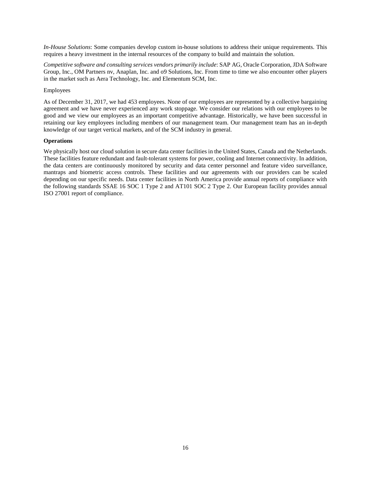*In-House Solutions*: Some companies develop custom in-house solutions to address their unique requirements. This requires a heavy investment in the internal resources of the company to build and maintain the solution.

*Competitive software and consulting services vendors primarily include*: SAP AG, Oracle Corporation, JDA Software Group, Inc., OM Partners nv, Anaplan, Inc. and o9 Solutions, Inc. From time to time we also encounter other players in the market such as Aera Technology, Inc. and Elementum SCM, Inc.

## Employees

As of December 31, 2017, we had 453 employees. None of our employees are represented by a collective bargaining agreement and we have never experienced any work stoppage. We consider our relations with our employees to be good and we view our employees as an important competitive advantage. Historically, we have been successful in retaining our key employees including members of our management team. Our management team has an in-depth knowledge of our target vertical markets, and of the SCM industry in general.

## **Operations**

We physically host our cloud solution in secure data center facilities in the United States, Canada and the Netherlands. These facilities feature redundant and fault-tolerant systems for power, cooling and Internet connectivity. In addition, the data centers are continuously monitored by security and data center personnel and feature video surveillance, mantraps and biometric access controls. These facilities and our agreements with our providers can be scaled depending on our specific needs. Data center facilities in North America provide annual reports of compliance with the following standards SSAE 16 SOC 1 Type 2 and AT101 SOC 2 Type 2. Our European facility provides annual ISO 27001 report of compliance.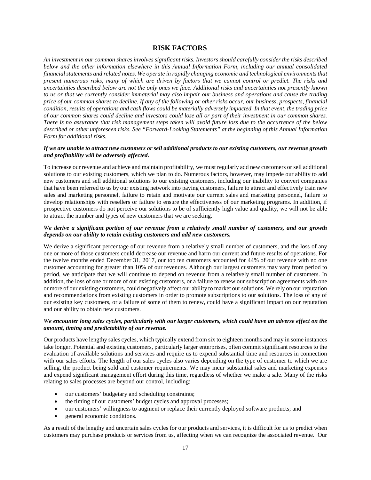# **RISK FACTORS**

<span id="page-16-0"></span>*An investment in our common shares involves significant risks. Investors should carefully consider the risks described below and the other information elsewhere in this Annual Information Form, including our annual consolidated financial statements and related notes. We operate in rapidly changing economic and technological environments that present numerous risks, many of which are driven by factors that we cannot control or predict. The risks and uncertainties described below are not the only ones we face. Additional risks and uncertainties not presently known to us or that we currently consider immaterial may also impair our business and operations and cause the trading price of our common shares to decline. If any of the following or other risks occur, our business, prospects, financial condition, results of operations and cash flows could be materially adversely impacted. In that event, the trading price of our common shares could decline and investors could lose all or part of their investment in our common shares. There is no assurance that risk management steps taken will avoid future loss due to the occurrence of the below described or other unforeseen risks. See "Forward-Looking Statements" at the beginning of this Annual Information Form for additional risks.*

#### *If we are unable to attract new customers or sell additional products to our existing customers, our revenue growth and profitability will be adversely affected.*

To increase our revenue and achieve and maintain profitability, we must regularly add new customers or sell additional solutions to our existing customers, which we plan to do. Numerous factors, however, may impede our ability to add new customers and sell additional solutions to our existing customers, including our inability to convert companies that have been referred to us by our existing network into paying customers, failure to attract and effectively train new sales and marketing personnel, failure to retain and motivate our current sales and marketing personnel, failure to develop relationships with resellers or failure to ensure the effectiveness of our marketing programs. In addition, if prospective customers do not perceive our solutions to be of sufficiently high value and quality, we will not be able to attract the number and types of new customers that we are seeking.

## *We derive a significant portion of our revenue from a relatively small number of customers, and our growth depends on our ability to retain existing customers and add new customers.*

We derive a significant percentage of our revenue from a relatively small number of customers, and the loss of any one or more of those customers could decrease our revenue and harm our current and future results of operations. For the twelve months ended December 31, 2017, our top ten customers accounted for 44% of our revenue with no one customer accounting for greater than 10% of our revenues. Although our largest customers may vary from period to period, we anticipate that we will continue to depend on revenue from a relatively small number of customers. In addition, the loss of one or more of our existing customers, or a failure to renew our subscription agreements with one or more of our existing customers, could negatively affect our ability to market our solutions. We rely on our reputation and recommendations from existing customers in order to promote subscriptions to our solutions. The loss of any of our existing key customers, or a failure of some of them to renew, could have a significant impact on our reputation and our ability to obtain new customers.

#### *We encounter long sales cycles, particularly with our larger customers, which could have an adverse effect on the amount, timing and predictability of our revenue.*

Our products have lengthy sales cycles, which typically extend from six to eighteen months and may in some instances take longer. Potential and existing customers, particularly larger enterprises, often commit significant resources to the evaluation of available solutions and services and require us to expend substantial time and resources in connection with our sales efforts. The length of our sales cycles also varies depending on the type of customer to which we are selling, the product being sold and customer requirements. We may incur substantial sales and marketing expenses and expend significant management effort during this time, regardless of whether we make a sale. Many of the risks relating to sales processes are beyond our control, including:

- our customers' budgetary and scheduling constraints;
- the timing of our customers' budget cycles and approval processes;
- our customers' willingness to augment or replace their currently deployed software products; and
- general economic conditions.

As a result of the lengthy and uncertain sales cycles for our products and services, it is difficult for us to predict when customers may purchase products or services from us, affecting when we can recognize the associated revenue. Our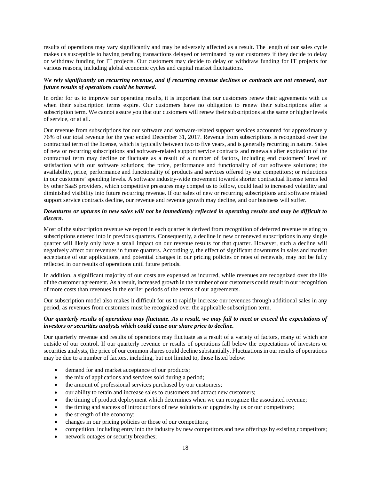results of operations may vary significantly and may be adversely affected as a result. The length of our sales cycle makes us susceptible to having pending transactions delayed or terminated by our customers if they decide to delay or withdraw funding for IT projects. Our customers may decide to delay or withdraw funding for IT projects for various reasons, including global economic cycles and capital market fluctuations.

## *We rely significantly on recurring revenue, and if recurring revenue declines or contracts are not renewed, our future results of operations could be harmed.*

In order for us to improve our operating results, it is important that our customers renew their agreements with us when their subscription terms expire. Our customers have no obligation to renew their subscriptions after a subscription term. We cannot assure you that our customers will renew their subscriptions at the same or higher levels of service, or at all.

Our revenue from subscriptions for our software and software-related support services accounted for approximately 76% of our total revenue for the year ended December 31, 2017. Revenue from subscriptions is recognized over the contractual term of the license, which is typically between two to five years, and is generally recurring in nature. Sales of new or recurring subscriptions and software-related support service contracts and renewals after expiration of the contractual term may decline or fluctuate as a result of a number of factors, including end customers' level of satisfaction with our software solutions; the price, performance and functionality of our software solutions; the availability, price, performance and functionality of products and services offered by our competitors; or reductions in our customers' spending levels. A software industry-wide movement towards shorter contractual license terms led by other SaaS providers, which competitive pressures may compel us to follow, could lead to increased volatility and diminished visibility into future recurring revenue. If our sales of new or recurring subscriptions and software related support service contracts decline, our revenue and revenue growth may decline, and our business will suffer.

## *Downturns or upturns in new sales will not be immediately reflected in operating results and may be difficult to discern.*

Most of the subscription revenue we report in each quarter is derived from recognition of deferred revenue relating to subscriptions entered into in previous quarters. Consequently, a decline in new or renewed subscriptions in any single quarter will likely only have a small impact on our revenue results for that quarter. However, such a decline will negatively affect our revenues in future quarters. Accordingly, the effect of significant downturns in sales and market acceptance of our applications, and potential changes in our pricing policies or rates of renewals, may not be fully reflected in our results of operations until future periods.

In addition, a significant majority of our costs are expensed as incurred, while revenues are recognized over the life of the customer agreement. As a result, increased growth in the number of our customers could result in our recognition of more costs than revenues in the earlier periods of the terms of our agreements.

Our subscription model also makes it difficult for us to rapidly increase our revenues through additional sales in any period, as revenues from customers must be recognized over the applicable subscription term.

## *Our quarterly results of operations may fluctuate. As a result, we may fail to meet or exceed the expectations of investors or securities analysts which could cause our share price to decline.*

Our quarterly revenue and results of operations may fluctuate as a result of a variety of factors, many of which are outside of our control. If our quarterly revenue or results of operations fall below the expectations of investors or securities analysts, the price of our common shares could decline substantially. Fluctuations in our results of operations may be due to a number of factors, including, but not limited to, those listed below:

- demand for and market acceptance of our products;
- the mix of applications and services sold during a period;
- the amount of professional services purchased by our customers;
- our ability to retain and increase sales to customers and attract new customers;
- the timing of product deployment which determines when we can recognize the associated revenue;
- the timing and success of introductions of new solutions or upgrades by us or our competitors;
- the strength of the economy;
- changes in our pricing policies or those of our competitors;
- competition, including entry into the industry by new competitors and new offerings by existing competitors;
- network outages or security breaches;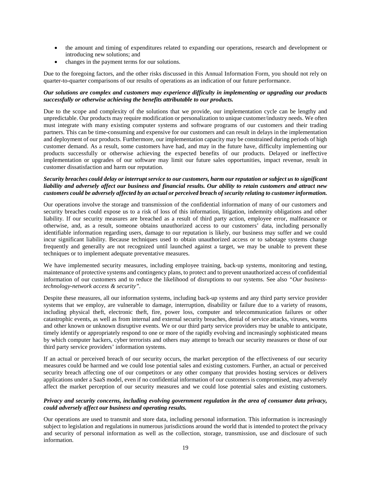- the amount and timing of expenditures related to expanding our operations, research and development or introducing new solutions; and
- changes in the payment terms for our solutions.

Due to the foregoing factors, and the other risks discussed in this Annual Information Form, you should not rely on quarter-to-quarter comparisons of our results of operations as an indication of our future performance.

## *Our solutions are complex and customers may experience difficulty in implementing or upgrading our products successfully or otherwise achieving the benefits attributable to our products.*

Due to the scope and complexity of the solutions that we provide, our implementation cycle can be lengthy and unpredictable. Our products may require modification or personalization to unique customer/industry needs. We often must integrate with many existing computer systems and software programs of our customers and their trading partners. This can be time-consuming and expensive for our customers and can result in delays in the implementation and deployment of our products. Furthermore, our implementation capacity may be constrained during periods of high customer demand. As a result, some customers have had, and may in the future have, difficulty implementing our products successfully or otherwise achieving the expected benefits of our products. Delayed or ineffective implementation or upgrades of our software may limit our future sales opportunities, impact revenue, result in customer dissatisfaction and harm our reputation.

## *Security breaches could delay or interrupt service to our customers, harm our reputation or subject us to significant liability and adversely affect our business and financial results. Our ability to retain customers and attract new customers could be adversely affected by an actual or perceived breach of security relating to customerinformation.*

Our operations involve the storage and transmission of the confidential information of many of our customers and security breaches could expose us to a risk of loss of this information, litigation, indemnity obligations and other liability. If our security measures are breached as a result of third party action, employee error, malfeasance or otherwise, and, as a result, someone obtains unauthorized access to our customers' data, including personally identifiable information regarding users, damage to our reputation is likely, our business may suffer and we could incur significant liability. Because techniques used to obtain unauthorized access or to sabotage systems change frequently and generally are not recognized until launched against a target, we may be unable to prevent these techniques or to implement adequate preventative measures.

We have implemented security measures, including employee training, back-up systems, monitoring and testing, maintenance of protective systems and contingency plans, to protect and to prevent unauthorized access of confidential information of our customers and to reduce the likelihood of disruptions to our systems. See also *"Our businesstechnology-network access & security".*

Despite these measures, all our information systems, including back-up systems and any third party service provider systems that we employ, are vulnerable to damage, interruption, disability or failure due to a variety of reasons, including physical theft, electronic theft, fire, power loss, computer and telecommunication failures or other catastrophic events, as well as from internal and external security breaches, denial of service attacks, viruses, worms and other known or unknown disruptive events. We or our third party service providers may be unable to anticipate, timely identify or appropriately respond to one or more of the rapidly evolving and increasingly sophisticated means by which computer hackers, cyber terrorists and others may attempt to breach our security measures or those of our third party service providers' information systems.

If an actual or perceived breach of our security occurs, the market perception of the effectiveness of our security measures could be harmed and we could lose potential sales and existing customers. Further, an actual or perceived security breach affecting one of our competitors or any other company that provides hosting services or delivers applications under a SaaS model, even if no confidential information of our customers is compromised, may adversely affect the market perception of our security measures and we could lose potential sales and existing customers.

## *Privacy and security concerns, including evolving government regulation in the area of consumer data privacy, could adversely affect our business and operating results.*

Our operations are used to transmit and store data, including personal information. This information is increasingly subject to legislation and regulations in numerous jurisdictions around the world that is intended to protect the privacy and security of personal information as well as the collection, storage, transmission, use and disclosure of such information.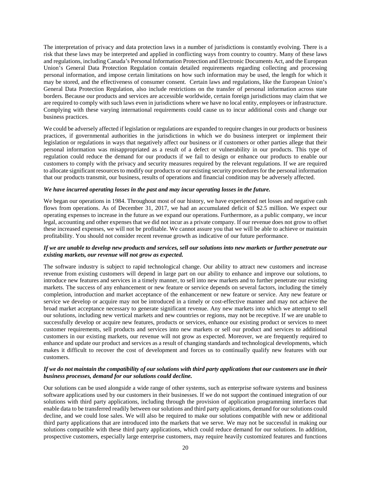The interpretation of privacy and data protection laws in a number of jurisdictions is constantly evolving. There is a risk that these laws may be interpreted and applied in conflicting ways from country to country. Many of these laws and regulations, including Canada's Personal Information Protection and Electronic Documents Act, and the European Union's General Data Protection Regulation contain detailed requirements regarding collecting and processing personal information, and impose certain limitations on how such information may be used, the length for which it may be stored, and the effectiveness of consumer consent. Certain laws and regulations, like the European Union's General Data Protection Regulation, also include restrictions on the transfer of personal information across state borders. Because our products and services are accessible worldwide, certain foreign jurisdictions may claim that we are required to comply with such laws even in jurisdictions where we have no local entity, employees or infrastructure. Complying with these varying international requirements could cause us to incur additional costs and change our business practices.

We could be adversely affected if legislation or regulations are expanded to require changes in our products or business practices, if governmental authorities in the jurisdictions in which we do business interpret or implement their legislation or regulations in ways that negatively affect our business or if customers or other parties allege that their personal information was misappropriated as a result of a defect or vulnerability in our products. This type of regulation could reduce the demand for our products if we fail to design or enhance our products to enable our customers to comply with the privacy and security measures required by the relevant regulations. If we are required to allocate significant resources to modify our products or our existing security procedures for the personal information that our products transmit, our business, results of operations and financial condition may be adversely affected.

## *We have incurred operating losses in the past and may incur operating losses in the future.*

We began our operations in 1984. Throughout most of our history, we have experienced net losses and negative cash flows from operations. As of December 31, 2017, we had an accumulated deficit of \$2.5 million. We expect our operating expenses to increase in the future as we expand our operations. Furthermore, as a public company, we incur legal, accounting and other expenses that we did not incur as a private company. If our revenue does not grow to offset these increased expenses, we will not be profitable. We cannot assure you that we will be able to achieve or maintain profitability. You should not consider recent revenue growth as indicative of our future performance.

## *If we are unable to develop new products and services, sell our solutions into new markets or further penetrate our existing markets, our revenue will not grow as expected.*

The software industry is subject to rapid technological change. Our ability to attract new customers and increase revenue from existing customers will depend in large part on our ability to enhance and improve our solutions, to introduce new features and services in a timely manner, to sell into new markets and to further penetrate our existing markets. The success of any enhancement or new feature or service depends on several factors, including the timely completion, introduction and market acceptance of the enhancement or new feature or service. Any new feature or service we develop or acquire may not be introduced in a timely or cost-effective manner and may not achieve the broad market acceptance necessary to generate significant revenue. Any new markets into which we attempt to sell our solutions, including new vertical markets and new countries or regions, may not be receptive. If we are unable to successfully develop or acquire new features, products or services, enhance our existing product or services to meet customer requirements, sell products and services into new markets or sell our product and services to additional customers in our existing markets, our revenue will not grow as expected. Moreover, we are frequently required to enhance and update our product and services as a result of changing standards and technological developments, which makes it difficult to recover the cost of development and forces us to continually qualify new features with our customers.

#### *If we do not maintain the compatibility of our solutions with third party applications that our customers use in their business processes, demand for our solutions could decline.*

Our solutions can be used alongside a wide range of other systems, such as enterprise software systems and business software applications used by our customers in their businesses. If we do not support the continued integration of our solutions with third party applications, including through the provision of application programming interfaces that enable data to be transferred readily between our solutions and third party applications, demand for our solutions could decline, and we could lose sales. We will also be required to make our solutions compatible with new or additional third party applications that are introduced into the markets that we serve. We may not be successful in making our solutions compatible with these third party applications, which could reduce demand for our solutions. In addition, prospective customers, especially large enterprise customers, may require heavily customized features and functions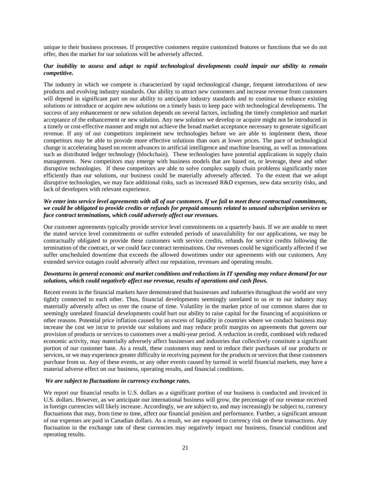unique to their business processes. If prospective customers require customized features or functions that we do not offer, then the market for our solutions will be adversely affected.

## *Our inability to assess and adapt to rapid technological developments could impair our ability to remain competitive.*

The industry in which we compete is characterized by rapid technological change, frequent introductions of new products and evolving industry standards. Our ability to attract new customers and increase revenue from customers will depend in significant part on our ability to anticipate industry standards and to continue to enhance existing solutions or introduce or acquire new solutions on a timely basis to keep pace with technological developments. The success of any enhancement or new solution depends on several factors, including the timely completion and market acceptance of the enhancement or new solution. Any new solution we develop or acquire might not be introduced in a timely or cost-effective manner and might not achieve the broad market acceptance necessary to generate significant revenue. If any of our competitors implement new technologies before we are able to implement them, those competitors may be able to provide more effective solutions than ours at lower prices. The pace of technological change is accelerating based on recent advances in artificial intelligence and machine learning, as well as innovations such as distributed ledger technology (blockchain). These technologies have potential applications in supply chain management. New competitors may emerge with business models that are based on, or leverage, these and other disruptive technologies. If these competitors are able to solve complex supply chain problems significantly more efficiently than our solutions, our business could be materially adversely affected. To the extent that we adopt disruptive technologies, we may face additional risks, such as increased R&D expenses, new data security risks, and lack of developers with relevant experience.

## *We enter into service level agreements with all of our customers. If we fail to meet these contractual commitments, we could be obligated to provide credits or refunds for prepaid amounts related to unused subscription services or face contract terminations, which could adversely affect our revenues.*

Our customer agreements typically provide service level commitments on a quarterly basis. If we are unable to meet the stated service level commitments or suffer extended periods of unavailability for our applications, we may be contractually obligated to provide these customers with service credits, refunds for service credits following the termination of the contract, or we could face contract terminations. Our revenues could be significantly affected if we suffer unscheduled downtime that exceeds the allowed downtimes under our agreements with our customers. Any extended service outages could adversely affect our reputation, revenues and operating results.

## *Downturns in general economic and market conditions and reductions in IT spending may reduce demand for our solutions, which could negatively affect our revenue, results of operations and cash flows.*

Recent events in the financial markets have demonstrated that businesses and industries throughout the world are very tightly connected to each other. Thus, financial developments seemingly unrelated to us or to our industry may materially adversely affect us over the course of time. Volatility in the market price of our common shares due to seemingly unrelated financial developments could hurt our ability to raise capital for the financing of acquisitions or other reasons. Potential price inflation caused by an excess of liquidity in countries where we conduct business may increase the cost we incur to provide our solutions and may reduce profit margins on agreements that govern our provision of products or services to customers over a multi-year period. A reduction in credit, combined with reduced economic activity, may materially adversely affect businesses and industries that collectively constitute a significant portion of our customer base. As a result, these customers may need to reduce their purchases of our products or services, or we may experience greater difficulty in receiving payment for the products or services that these customers purchase from us. Any of these events, or any other events caused by turmoil in world financial markets, may have a material adverse effect on our business, operating results, and financial conditions.

## *We are subject to fluctuations in currency exchange rates.*

We report our financial results in U.S. dollars as a significant portion of our business is conducted and invoiced in U.S. dollars. However, as we anticipate our international business will grow, the percentage of our revenue received in foreign currencies will likely increase. Accordingly, we are subject to, and may increasingly be subject to, currency fluctuations that may, from time to time, affect our financial position and performance. Further, a significant amount of our expenses are paid in Canadian dollars. As a result, we are exposed to currency risk on these transactions. Any fluctuation in the exchange rate of these currencies may negatively impact our business, financial condition and operating results.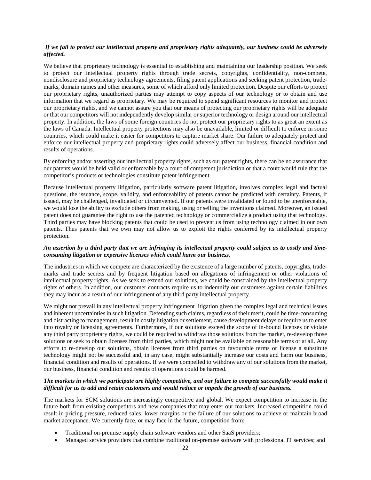## *If we fail to protect our intellectual property and proprietary rights adequately, our business could be adversely affected.*

We believe that proprietary technology is essential to establishing and maintaining our leadership position. We seek to protect our intellectual property rights through trade secrets, copyrights, confidentiality, non-compete, nondisclosure and proprietary technology agreements, filing patent applications and seeking patent protection, trademarks, domain names and other measures, some of which afford only limited protection. Despite our efforts to protect our proprietary rights, unauthorized parties may attempt to copy aspects of our technology or to obtain and use information that we regard as proprietary. We may be required to spend significant resources to monitor and protect our proprietary rights, and we cannot assure you that our means of protecting our proprietary rights will be adequate or that our competitors will not independently develop similar or superior technology or design around our intellectual property. In addition, the laws of some foreign countries do not protect our proprietary rights to as great an extent as the laws of Canada. Intellectual property protections may also be unavailable, limited or difficult to enforce in some countries, which could make it easier for competitors to capture market share. Our failure to adequately protect and enforce our intellectual property and proprietary rights could adversely affect our business, financial condition and results of operations.

By enforcing and/or asserting our intellectual property rights, such as our patent rights, there can be no assurance that our patents would be held valid or enforceable by a court of competent jurisdiction or that a court would rule that the competitor's products or technologies constitute patent infringement.

Because intellectual property litigation, particularly software patent litigation, involves complex legal and factual questions, the issuance, scope, validity, and enforceability of patents cannot be predicted with certainty. Patents, if issued, may be challenged, invalidated or circumvented. If our patents were invalidated or found to be unenforceable, we would lose the ability to exclude others from making, using or selling the inventions claimed. Moreover, an issued patent does not guarantee the right to use the patented technology or commercialize a product using that technology. Third parties may have blocking patents that could be used to prevent us from using technology claimed in our own patents. Thus patents that we own may not allow us to exploit the rights conferred by its intellectual property protection.

## *An assertion by a third party that we are infringing its intellectual property could subject us to costly and timeconsuming litigation or expensive licenses which could harm our business.*

The industries in which we compete are characterized by the existence of a large number of patents, copyrights, trademarks and trade secrets and by frequent litigation based on allegations of infringement or other violations of intellectual property rights. As we seek to extend our solutions, we could be constrained by the intellectual property rights of others. In addition, our customer contracts require us to indemnify our customers against certain liabilities they may incur as a result of our infringement of any third party intellectual property.

We might not prevail in any intellectual property infringement litigation given the complex legal and technical issues and inherent uncertainties in such litigation. Defending such claims, regardless of their merit, could be time-consuming and distracting to management, result in costly litigation or settlement, cause development delays or require us to enter into royalty or licensing agreements. Furthermore, if our solutions exceed the scope of in-bound licenses or violate any third party proprietary rights, we could be required to withdraw those solutions from the market, re-develop those solutions or seek to obtain licenses from third parties, which might not be available on reasonable terms or at all. Any efforts to re-develop our solutions, obtain licenses from third parties on favourable terms or license a substitute technology might not be successful and, in any case, might substantially increase our costs and harm our business, financial condition and results of operations. If we were compelled to withdraw any of our solutions from the market, our business, financial condition and results of operations could be harmed.

## *The markets in which we participate are highly competitive, and our failure to compete successfully would make it difficult for us to add and retain customers and would reduce or impede the growth of our business.*

The markets for SCM solutions are increasingly competitive and global. We expect competition to increase in the future both from existing competitors and new companies that may enter our markets. Increased competition could result in pricing pressure, reduced sales, lower margins or the failure of our solutions to achieve or maintain broad market acceptance. We currently face, or may face in the future, competition from:

- Traditional on-premise supply chain software vendors and other SaaS providers;
- Managed service providers that combine traditional on-premise software with professional IT services; and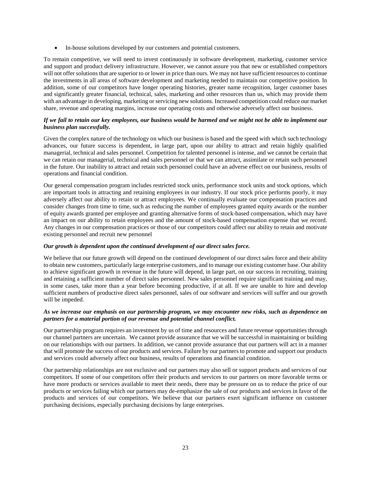• In-house solutions developed by our customers and potential customers.

To remain competitive, we will need to invest continuously in software development, marketing, customer service and support and product delivery infrastructure. However, we cannot assure you that new or established competitors will not offer solutions that are superior to or lower in price than ours. We may not have sufficient resources to continue the investments in all areas of software development and marketing needed to maintain our competitive position. In addition, some of our competitors have longer operating histories, greater name recognition, larger customer bases and significantly greater financial, technical, sales, marketing and other resources than us, which may provide them with an advantage in developing, marketing or servicing new solutions. Increased competition could reduce our market share, revenue and operating margins, increase our operating costs and otherwise adversely affect our business.

## *If we fail to retain our key employees, our business would be harmed and we might not be able to implement our business plan successfully.*

Given the complex nature of the technology on which our business is based and the speed with which such technology advances, our future success is dependent, in large part, upon our ability to attract and retain highly qualified managerial, technical and sales personnel. Competition for talented personnel is intense, and we cannot be certain that we can retain our managerial, technical and sales personnel or that we can attract, assimilate or retain such personnel in the future. Our inability to attract and retain such personnel could have an adverse effect on our business, results of operations and financial condition.

Our general compensation program includes restricted stock units, performance stock units and stock options, which are important tools in attracting and retaining employees in our industry. If our stock price performs poorly, it may adversely affect our ability to retain or attract employees. We continually evaluate our compensation practices and consider changes from time to time, such as reducing the number of employees granted equity awards or the number of equity awards granted per employee and granting alternative forms of stock-based compensation, which may have an impact on our ability to retain employees and the amount of stock-based compensation expense that we record. Any changes in our compensation practices or those of our competitors could affect our ability to retain and motivate existing personnel and recruit new personnel

## *Our growth is dependent upon the continued development of our direct sales force.*

We believe that our future growth will depend on the continued development of our direct sales force and their ability to obtain new customers, particularly large enterprise customers, and to manage our existing customer base. Our ability to achieve significant growth in revenue in the future will depend, in large part, on our success in recruiting, training and retaining a sufficient number of direct sales personnel. New sales personnel require significant training and may, in some cases, take more than a year before becoming productive, if at all. If we are unable to hire and develop sufficient numbers of productive direct sales personnel, sales of our software and services will suffer and our growth will be impeded.

## *As we increase our emphasis on our partnership program, we may encounter new risks, such as dependence on partners for a material portion of our revenue and potential channel conflict.*

Our partnership program requires an investment by us of time and resources and future revenue opportunities through our channel partners are uncertain. We cannot provide assurance that we will be successful in maintaining or building on our relationships with our partners. In addition, we cannot provide assurance that our partners will act in a manner that will promote the success of our products and services. Failure by our partners to promote and support our products and services could adversely affect our business, results of operations and financial condition.

Our partnership relationships are not exclusive and our partners may also sell or support products and services of our competitors. If some of our competitors offer their products and services to our partners on more favorable terms or have more products or services available to meet their needs, there may be pressure on us to reduce the price of our products or services failing which our partners may de-emphasize the sale of our products and services in favor of the products and services of our competitors. We believe that our partners exert significant influence on customer purchasing decisions, especially purchasing decisions by large enterprises.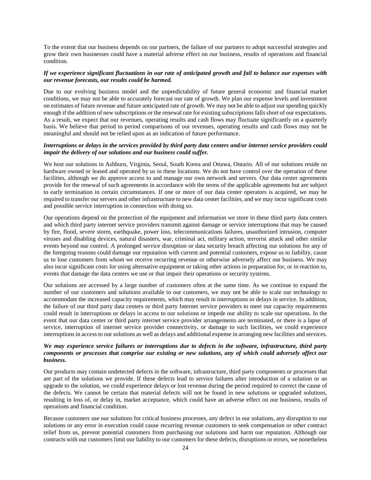To the extent that our business depends on our partners, the failure of our partners to adopt successful strategies and grow their own businesses could have a material adverse effect on our business, results of operations and financial condition.

## *If we experience significant fluctuations in our rate of anticipated growth and fail to balance our expenses with our revenue forecasts, our results could be harmed.*

Due to our evolving business model and the unpredictability of future general economic and financial market conditions, we may not be able to accurately forecast our rate of growth. We plan our expense levels and investment on estimates of future revenue and future anticipated rate of growth. We may not be able to adjust our spending quickly enough if the addition of new subscriptions or the renewal rate for existing subscriptions falls short of our expectations. As a result, we expect that our revenues, operating results and cash flows may fluctuate significantly on a quarterly basis. We believe that period to period comparisons of our revenues, operating results and cash flows may not be meaningful and should not be relied upon as an indication of future performance.

## *Interruptions or delays in the services provided by third party data centers and/or internet service providers could impair the delivery of our solutions and our business could suffer.*

We host our solutions in Ashburn, Virginia, Seoul, South Korea and Ottawa, Ontario. All of our solutions reside on hardware owned or leased and operated by us in these locations. We do not have control over the operation of these facilities, although we do approve access to and manage our own network and servers. Our data center agreements provide for the renewal of such agreements in accordance with the terms of the applicable agreements but are subject to early termination in certain circumstances. If one or more of our data center operators is acquired, we may be required to transfer our servers and other infrastructure to new data center facilities, and we may incur significant costs and possible service interruption in connection with doing so.

Our operations depend on the protection of the equipment and information we store in these third party data centers and which third party internet service providers transmit against damage or service interruptions that may be caused by fire, flood, severe storm, earthquake, power loss, telecommunications failures, unauthorized intrusion, computer viruses and disabling devices, natural disasters, war, criminal act, military action, terrorist attack and other similar events beyond our control. A prolonged service disruption or data security breach affecting our solutions for any of the foregoing reasons could damage our reputation with current and potential customers, expose us to liability, cause us to lose customers from whom we receive recurring revenue or otherwise adversely affect our business. We may also incur significant costs for using alternative equipment or taking other actions in preparation for, or in reaction to, events that damage the data centers we use or that impair their operations or security systems.

Our solutions are accessed by a large number of customers often at the same time. As we continue to expand the number of our customers and solutions available to our customers, we may not be able to scale our technology to accommodate the increased capacity requirements, which may result in interruptions or delays in service. In addition, the failure of our third party data centers or third party Internet service providers to meet our capacity requirements could result in interruptions or delays in access to our solutions or impede our ability to scale our operations. In the event that our data center or third party internet service provider arrangements are terminated, or there is a lapse of service, interruption of internet service provider connectivity, or damage to such facilities, we could experience interruptions in access to our solutions as well as delays and additional expense in arranging new facilities and services.

## *We may experience service failures or interruptions due to defects in the software, infrastructure, third party components or processes that comprise our existing or new solutions, any of which could adversely affect our business.*

Our products may contain undetected defects in the software, infrastructure, third party components or processes that are part of the solutions we provide. If these defects lead to service failures after introduction of a solution or an upgrade to the solution, we could experience delays or lost revenue during the period required to correct the cause of the defects. We cannot be certain that material defects will not be found in new solutions or upgraded solutions, resulting in loss of, or delay in, market acceptance, which could have an adverse effect on our business, results of operations and financial condition.

Because customers use our solutions for critical business processes, any defect in our solutions, any disruption to our solutions or any error in execution could cause recurring revenue customers to seek compensation or other contract relief from us, prevent potential customers from purchasing our solutions and harm our reputation. Although our contracts with our customers limit our liability to our customers for these defects, disruptions or errors, we nonetheless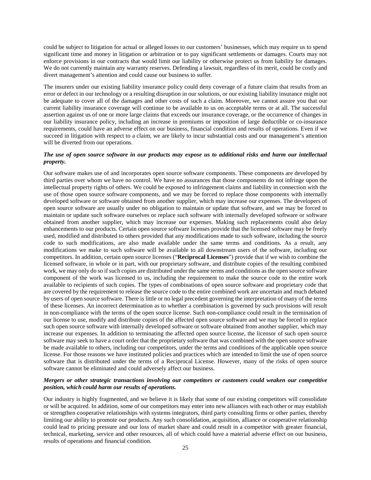could be subject to litigation for actual or alleged losses to our customers' businesses, which may require us to spend significant time and money in litigation or arbitration or to pay significant settlements or damages. Courts may not enforce provisions in our contracts that would limit our liability or otherwise protect us from liability for damages. We do not currently maintain any warranty reserves. Defending a lawsuit, regardless of its merit, could be costly and divert management's attention and could cause our business to suffer.

The insurers under our existing liability insurance policy could deny coverage of a future claim that results from an error or defect in our technology or a resulting disruption in our solutions, or our existing liability insurance might not be adequate to cover all of the damages and other costs of such a claim. Moreover, we cannot assure you that our current liability insurance coverage will continue to be available to us on acceptable terms or at all. The successful assertion against us of one or more large claims that exceeds our insurance coverage, or the occurrence of changes in our liability insurance policy, including an increase in premiums or imposition of large deductible or co-insurance requirements, could have an adverse effect on our business, financial condition and results of operations. Even if we succeed in litigation with respect to a claim, we are likely to incur substantial costs and our management's attention will be diverted from our operations.

## *The use of open source software in our products may expose us to additional risks and harm our intellectual property.*

Our software makes use of and incorporates open source software components. These components are developed by third parties over whom we have no control. We have no assurances that those components do not infringe upon the intellectual property rights of others. We could be exposed to infringement claims and liability in connection with the use of those open source software components, and we may be forced to replace those components with internally developed software or software obtained from another supplier, which may increase our expenses. The developers of open source software are usually under no obligation to maintain or update that software, and we may be forced to maintain or update such software ourselves or replace such software with internally developed software or software obtained from another supplier, which may increase our expenses. Making such replacements could also delay enhancements to our products. Certain open source software licenses provide that the licensed software may be freely used, modified and distributed to others provided that any modifications made to such software, including the source code to such modifications, are also made available under the same terms and conditions. As a result, any modifications we make to such software will be available to all downstream users of the software, including our competitors. In addition, certain open source licenses ("**Reciprocal Licenses**") provide that if we wish to combine the licensed software, in whole or in part, with our proprietary software, and distribute copies of the resulting combined work, we may only do so if such copies are distributed under the same terms and conditions as the open source software component of the work was licensed to us, including the requirement to make the source code to the entire work available to recipients of such copies. The types of combinations of open source software and proprietary code that are covered by the requirement to release the source code to the entire combined work are uncertain and much debated by users of open source software. There is little or no legal precedent governing the interpretation of many of the terms of these licenses. An incorrect determination as to whether a combination is governed by such provisions will result in non-compliance with the terms of the open source license. Such non-compliance could result in the termination of our license to use, modify and distribute copies of the affected open source software and we may be forced to replace such open source software with internally developed software or software obtained from another supplier, which may increase our expenses. In addition to terminating the affected open source license, the licensor of such open source software may seek to have a court order that the proprietary software that was combined with the open source software be made available to others, including our competitors, under the terms and conditions of the applicable open source license. For those reasons we have instituted policies and practices which are intended to limit the use of open source software that is distributed under the terms of a Reciprocal License. However, many of the risks of open source software cannot be eliminated and could adversely affect our business.

## *Mergers or other strategic transactions involving our competitors or customers could weaken our competitive position, which could harm our results of operations.*

Our industry is highly fragmented, and we believe it is likely that some of our existing competitors will consolidate or will be acquired. In addition, some of our competitors may enter into new alliances with each other or may establish or strengthen cooperative relationships with systems integrators, third party consulting firms or other parties, thereby limiting our ability to promote our products. Any such consolidation, acquisition, alliance or cooperative relationship could lead to pricing pressure and our loss of market share and could result in a competitor with greater financial, technical, marketing, service and other resources, all of which could have a material adverse effect on our business, results of operations and financial condition.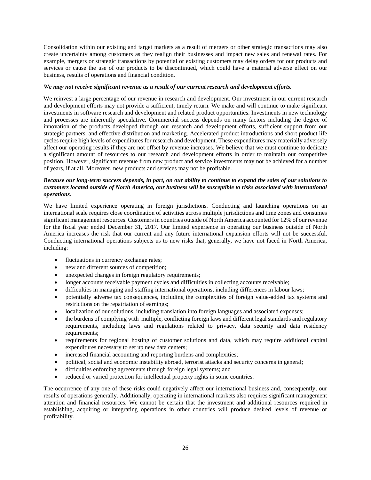Consolidation within our existing and target markets as a result of mergers or other strategic transactions may also create uncertainty among customers as they realign their businesses and impact new sales and renewal rates. For example, mergers or strategic transactions by potential or existing customers may delay orders for our products and services or cause the use of our products to be discontinued, which could have a material adverse effect on our business, results of operations and financial condition.

## *We may not receive significant revenue as a result of our current research and development efforts.*

We reinvest a large percentage of our revenue in research and development. Our investment in our current research and development efforts may not provide a sufficient, timely return. We make and will continue to make significant investments in software research and development and related product opportunities. Investments in new technology and processes are inherently speculative. Commercial success depends on many factors including the degree of innovation of the products developed through our research and development efforts, sufficient support from our strategic partners, and effective distribution and marketing. Accelerated product introductions and short product life cycles require high levels of expenditures for research and development. These expenditures may materially adversely affect our operating results if they are not offset by revenue increases. We believe that we must continue to dedicate a significant amount of resources to our research and development efforts in order to maintain our competitive position. However, significant revenue from new product and service investments may not be achieved for a number of years, if at all. Moreover, new products and services may not be profitable.

## *Because our long-term success depends, in part, on our ability to continue to expand the sales of our solutions to customers located outside of North America, our business will be susceptible to risks associated with international operations.*

We have limited experience operating in foreign jurisdictions. Conducting and launching operations on an international scale requires close coordination of activities across multiple jurisdictions and time zones and consumes significant management resources. Customers in countries outside of North America accounted for 12% of our revenue for the fiscal year ended December 31, 2017. Our limited experience in operating our business outside of North America increases the risk that our current and any future international expansion efforts will not be successful. Conducting international operations subjects us to new risks that, generally, we have not faced in North America, including:

- fluctuations in currency exchange rates;
- new and different sources of competition;
- unexpected changes in foreign regulatory requirements;
- longer accounts receivable payment cycles and difficulties in collecting accounts receivable;
- difficulties in managing and staffing international operations, including differences in labour laws;
- potentially adverse tax consequences, including the complexities of foreign value-added tax systems and restrictions on the repatriation of earnings;
- localization of our solutions, including translation into foreign languages and associated expenses;
- the burdens of complying with multiple, conflicting foreign laws and different legal standards and regulatory requirements, including laws and regulations related to privacy, data security and data residency requirements;
- requirements for regional hosting of customer solutions and data, which may require additional capital expenditures necessary to set up new data centers;
- increased financial accounting and reporting burdens and complexities;
- political, social and economic instability abroad, terrorist attacks and security concerns in general;
- difficulties enforcing agreements through foreign legal systems; and
- reduced or varied protection for intellectual property rights in some countries.

The occurrence of any one of these risks could negatively affect our international business and, consequently, our results of operations generally. Additionally, operating in international markets also requires significant management attention and financial resources. We cannot be certain that the investment and additional resources required in establishing, acquiring or integrating operations in other countries will produce desired levels of revenue or profitability.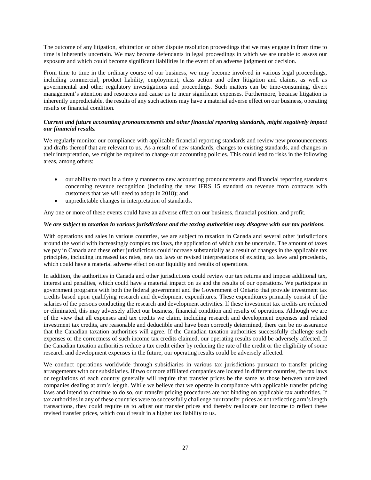The outcome of any litigation, arbitration or other dispute resolution proceedings that we may engage in from time to time is inherently uncertain. We may become defendants in legal proceedings in which we are unable to assess our exposure and which could become significant liabilities in the event of an adverse judgment or decision.

From time to time in the ordinary course of our business, we may become involved in various legal proceedings, including commercial, product liability, employment, class action and other litigation and claims, as well as governmental and other regulatory investigations and proceedings. Such matters can be time-consuming, divert management's attention and resources and cause us to incur significant expenses. Furthermore, because litigation is inherently unpredictable, the results of any such actions may have a material adverse effect on our business, operating results or financial condition.

## *Current and future accounting pronouncements and other financial reporting standards, might negatively impact our financial results.*

We regularly monitor our compliance with applicable financial reporting standards and review new pronouncements and drafts thereof that are relevant to us. As a result of new standards, changes to existing standards, and changes in their interpretation, we might be required to change our accounting policies. This could lead to risks in the following areas, among others:

- our ability to react in a timely manner to new accounting pronouncements and financial reporting standards concerning revenue recognition (including the new IFRS 15 standard on revenue from contracts with customers that we will need to adopt in 2018); and
- unpredictable changes in interpretation of standards.

Any one or more of these events could have an adverse effect on our business, financial position, and profit.

#### *We are subject to taxation in various jurisdictions and the taxing authorities may disagree with our tax positions.*

With operations and sales in various countries, we are subject to taxation in Canada and several other jurisdictions around the world with increasingly complex tax laws, the application of which can be uncertain. The amount of taxes we pay in Canada and these other jurisdictions could increase substantially as a result of changes in the applicable tax principles, including increased tax rates, new tax laws or revised interpretations of existing tax laws and precedents, which could have a material adverse effect on our liquidity and results of operations.

In addition, the authorities in Canada and other jurisdictions could review our tax returns and impose additional tax, interest and penalties, which could have a material impact on us and the results of our operations. We participate in government programs with both the federal government and the Government of Ontario that provide investment tax credits based upon qualifying research and development expenditures. These expenditures primarily consist of the salaries of the persons conducting the research and development activities. If these investment tax credits are reduced or eliminated, this may adversely affect our business, financial condition and results of operations. Although we are of the view that all expenses and tax credits we claim, including research and development expenses and related investment tax credits, are reasonable and deductible and have been correctly determined, there can be no assurance that the Canadian taxation authorities will agree. If the Canadian taxation authorities successfully challenge such expenses or the correctness of such income tax credits claimed, our operating results could be adversely affected. If the Canadian taxation authorities reduce a tax credit either by reducing the rate of the credit or the eligibility of some research and development expenses in the future, our operating results could be adversely affected.

We conduct operations worldwide through subsidiaries in various tax jurisdictions pursuant to transfer pricing arrangements with our subsidiaries. If two or more affiliated companies are located in different countries, the tax laws or regulations of each country generally will require that transfer prices be the same as those between unrelated companies dealing at arm's length. While we believe that we operate in compliance with applicable transfer pricing laws and intend to continue to do so, our transfer pricing procedures are not binding on applicable tax authorities. If tax authorities in any of these countries were to successfully challenge our transfer prices as not reflecting arm's length transactions, they could require us to adjust our transfer prices and thereby reallocate our income to reflect these revised transfer prices, which could result in a higher tax liability to us.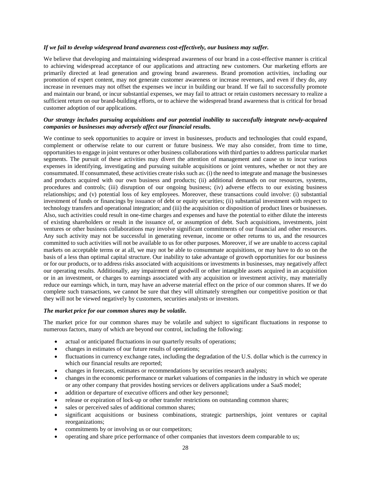#### *If we fail to develop widespread brand awareness cost-effectively, our business may suffer.*

We believe that developing and maintaining widespread awareness of our brand in a cost-effective manner is critical to achieving widespread acceptance of our applications and attracting new customers. Our marketing efforts are primarily directed at lead generation and growing brand awareness. Brand promotion activities, including our promotion of expert content, may not generate customer awareness or increase revenues, and even if they do, any increase in revenues may not offset the expenses we incur in building our brand. If we fail to successfully promote and maintain our brand, or incur substantial expenses, we may fail to attract or retain customers necessary to realize a sufficient return on our brand-building efforts, or to achieve the widespread brand awareness that is critical for broad customer adoption of our applications.

### *Our strategy includes pursuing acquisitions and our potential inability to successfully integrate newly-acquired companies or businesses may adversely affect our financial results.*

We continue to seek opportunities to acquire or invest in businesses, products and technologies that could expand, complement or otherwise relate to our current or future business. We may also consider, from time to time, opportunities to engage in joint ventures or other business collaborations with third parties to address particular market segments. The pursuit of these activities may divert the attention of management and cause us to incur various expenses in identifying, investigating and pursuing suitable acquisitions or joint ventures, whether or not they are consummated. If consummated, these activities create risks such as: (i) the need to integrate and manage the businesses and products acquired with our own business and products; (ii) additional demands on our resources, systems, procedures and controls; (iii) disruption of our ongoing business; (iv) adverse effects to our existing business relationships; and (v) potential loss of key employees. Moreover, these transactions could involve: (i) substantial investment of funds or financings by issuance of debt or equity securities; (ii) substantial investment with respect to technology transfers and operational integration; and (iii) the acquisition or disposition of product lines or businesses. Also, such activities could result in one-time charges and expenses and have the potential to either dilute the interests of existing shareholders or result in the issuance of, or assumption of debt. Such acquisitions, investments, joint ventures or other business collaborations may involve significant commitments of our financial and other resources. Any such activity may not be successful in generating revenue, income or other returns to us, and the resources committed to such activities will not be available to us for other purposes. Moreover, if we are unable to access capital markets on acceptable terms or at all, we may not be able to consummate acquisitions, or may have to do so on the basis of a less than optimal capital structure. Our inability to take advantage of growth opportunities for our business or for our products, or to address risks associated with acquisitions or investments in businesses, may negatively affect our operating results. Additionally, any impairment of goodwill or other intangible assets acquired in an acquisition or in an investment, or charges to earnings associated with any acquisition or investment activity, may materially reduce our earnings which, in turn, may have an adverse material effect on the price of our common shares. If we do complete such transactions, we cannot be sure that they will ultimately strengthen our competitive position or that they will not be viewed negatively by customers, securities analysts or investors.

## *The market price for our common shares may be volatile.*

The market price for our common shares may be volatile and subject to significant fluctuations in response to numerous factors, many of which are beyond our control, including the following:

- actual or anticipated fluctuations in our quarterly results of operations;
- changes in estimates of our future results of operations;
- fluctuations in currency exchange rates, including the degradation of the U.S. dollar which is the currency in which our financial results are reported;
- changes in forecasts, estimates or recommendations by securities research analysts;
- changes in the economic performance or market valuations of companies in the industry in which we operate or any other company that provides hosting services or delivers applications under a SaaS model;
- addition or departure of executive officers and other key personnel;
- release or expiration of lock-up or other transfer restrictions on outstanding common shares;
- sales or perceived sales of additional common shares;
- significant acquisitions or business combinations, strategic partnerships, joint ventures or capital reorganizations;
- commitments by or involving us or our competitors;
- operating and share price performance of other companies that investors deem comparable to us;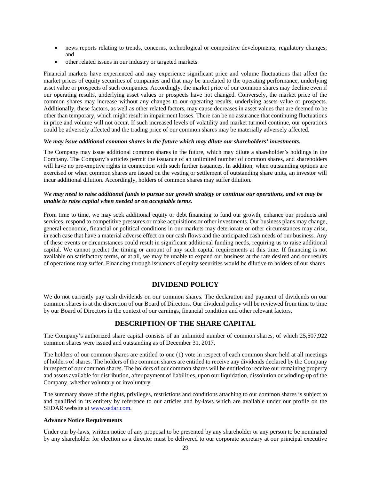- news reports relating to trends, concerns, technological or competitive developments, regulatory changes; and
- other related issues in our industry or targeted markets.

Financial markets have experienced and may experience significant price and volume fluctuations that affect the market prices of equity securities of companies and that may be unrelated to the operating performance, underlying asset value or prospects of such companies. Accordingly, the market price of our common shares may decline even if our operating results, underlying asset values or prospects have not changed. Conversely, the market price of the common shares may increase without any changes to our operating results, underlying assets value or prospects. Additionally, these factors, as well as other related factors, may cause decreases in asset values that are deemed to be other than temporary, which might result in impairment losses. There can be no assurance that continuing fluctuations in price and volume will not occur. If such increased levels of volatility and market turmoil continue, our operations could be adversely affected and the trading price of our common shares may be materially adversely affected.

## *We may issue additional common shares in the future which may dilute our shareholders' investments.*

The Company may issue additional common shares in the future, which may dilute a shareholder's holdings in the Company. The Company's articles permit the issuance of an unlimited number of common shares, and shareholders will have no pre-emptive rights in connection with such further issuances. In addition, when outstanding options are exercised or when common shares are issued on the vesting or settlement of outstanding share units, an investor will incur additional dilution. Accordingly, holders of common shares may suffer dilution.

## *We may need to raise additional funds to pursue our growth strategy or continue our operations, and we may be unable to raise capital when needed or on acceptable terms.*

From time to time, we may seek additional equity or debt financing to fund our growth, enhance our products and services, respond to competitive pressures or make acquisitions or other investments. Our business plans may change, general economic, financial or political conditions in our markets may deteriorate or other circumstances may arise, in each case that have a material adverse effect on our cash flows and the anticipated cash needs of our business. Any of these events or circumstances could result in significant additional funding needs, requiring us to raise additional capital. We cannot predict the timing or amount of any such capital requirements at this time. If financing is not available on satisfactory terms, or at all, we may be unable to expand our business at the rate desired and our results of operations may suffer. Financing through issuances of equity securities would be dilutive to holders of our shares

# **DIVIDEND POLICY**

<span id="page-28-0"></span>We do not currently pay cash dividends on our common shares. The declaration and payment of dividends on our common shares is at the discretion of our Board of Directors. Our dividend policy will be reviewed from time to time by our Board of Directors in the context of our earnings, financial condition and other relevant factors.

# **DESCRIPTION OF THE SHARE CAPITAL**

<span id="page-28-1"></span>The Company's authorized share capital consists of an unlimited number of common shares, of which 25,507,922 common shares were issued and outstanding as of December 31, 2017.

The holders of our common shares are entitled to one (1) vote in respect of each common share held at all meetings of holders of shares. The holders of the common shares are entitled to receive any dividends declared by the Company in respect of our common shares. The holders of our common shares will be entitled to receive our remaining property and assets available for distribution, after payment of liabilities, upon our liquidation, dissolution or winding-up of the Company, whether voluntary or involuntary.

The summary above of the rights, privileges, restrictions and conditions attaching to our common shares is subject to and qualified in its entirety by reference to our articles and by-laws which are available under our profile on the SEDAR website at [www.sedar.com.](http://www.sedar.com/)

#### **Advance Notice Requirements**

Under our by-laws, written notice of any proposal to be presented by any shareholder or any person to be nominated by any shareholder for election as a director must be delivered to our corporate secretary at our principal executive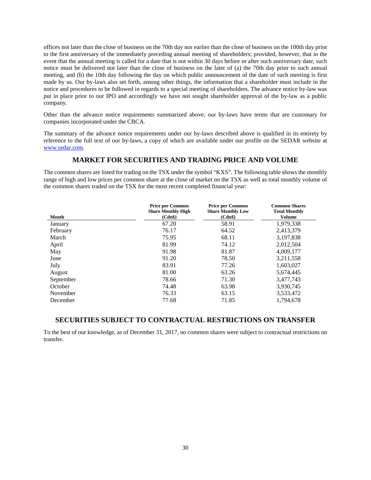offices not later than the close of business on the 70th day nor earlier than the close of business on the 100th day prior to the first anniversary of the immediately preceding annual meeting of shareholders; provided, however, that in the event that the annual meeting is called for a date that is not within 30 days before or after such anniversary date, such notice must be delivered not later than the close of business on the later of (a) the 70th day prior to such annual meeting, and (b) the 10th day following the day on which public announcement of the date of such meeting is first made by us. Our by-laws also set forth, among other things, the information that a shareholder must include in the notice and procedures to be followed in regards to a special meeting of shareholders. The advance notice by-law was put in place prior to our IPO and accordingly we have not sought shareholder approval of the by-law as a public company.

Other than the advance notice requirements summarized above, our by-laws have terms that are customary for companies incorporated under the CBCA.

The summary of the advance notice requirements under our by-laws described above is qualified in its entirety by reference to the full text of our by-laws, a copy of which are available under our profile on the SEDAR website at [www.sedar.com.](http://www.sedar.com/)

# **MARKET FOR SECURITIES AND TRADING PRICE AND VOLUME**

<span id="page-29-0"></span>The common shares are listed for trading on the TSX under the symbol "KXS". The following table shows the monthly range of high and low prices per common share at the close of market on the TSX as well as total monthly volume of the common shares traded on the TSX for the most recent completed financial year:

| <b>Month</b> | <b>Price per Common</b><br><b>Share Monthly High</b><br>(Cdn\$) | <b>Price per Common</b><br><b>Share Monthly Low</b><br>(Cdn\$) | <b>Common Shares</b><br><b>Total Monthly</b><br><b>Volume</b> |
|--------------|-----------------------------------------------------------------|----------------------------------------------------------------|---------------------------------------------------------------|
| January      | 67.20                                                           | 58.91                                                          | 1,979,338                                                     |
| February     | 76.17                                                           | 64.52                                                          | 2,413,379                                                     |
| March        | 75.95                                                           | 68.11                                                          | 3,197,838                                                     |
| April        | 81.99                                                           | 74.12                                                          | 2,012,504                                                     |
| May          | 91.98                                                           | 81.87                                                          | 4,009,177                                                     |
| June         | 91.20                                                           | 78.50                                                          | 3,211,558                                                     |
| July         | 83.91                                                           | 77.26                                                          | 1,603,027                                                     |
| August       | 81.00                                                           | 63.26                                                          | 5,674,445                                                     |
| September    | 78.66                                                           | 71.30                                                          | 3,477,743                                                     |
| October      | 74.48                                                           | 63.98                                                          | 3,930,745                                                     |
| November     | 76.33                                                           | 63.15                                                          | 3,533,472                                                     |
| December     | 77.68                                                           | 71.85                                                          | 1.794.678                                                     |

# <span id="page-29-1"></span>**SECURITIES SUBJECT TO CONTRACTUAL RESTRICTIONS ON TRANSFER**

<span id="page-29-2"></span>To the best of our knowledge, as of December 31, 2017, no common shares were subject to contractual restrictions on transfer.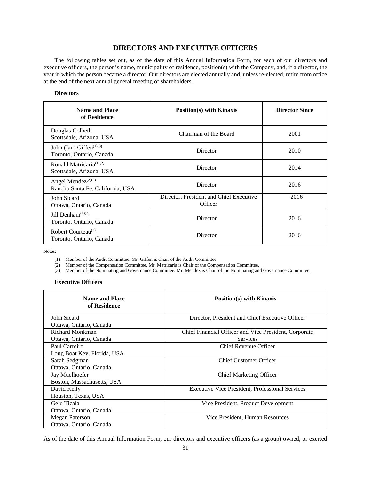# **DIRECTORS AND EXECUTIVE OFFICERS**

The following tables set out, as of the date of this Annual Information Form, for each of our directors and executive officers, the person's name, municipality of residence, position(s) with the Company, and, if a director, the year in which the person became a director. Our directors are elected annually and, unless re-elected, retire from office at the end of the next annual general meeting of shareholders.

## **Directors**

| <b>Name and Place</b><br>of Residence                                        | <b>Position(s)</b> with Kinaxis                    | <b>Director Since</b> |
|------------------------------------------------------------------------------|----------------------------------------------------|-----------------------|
| Douglas Colbeth<br>Scottsdale, Arizona, USA                                  | Chairman of the Board                              | 2001                  |
| John (Ian) Giffen <sup><math>(1)(3)</math></sup><br>Toronto, Ontario, Canada | Director                                           | 2010                  |
| Ronald Matricaria $(1)(2)$<br>Scottsdale, Arizona, USA                       | Director                                           | 2014                  |
| Angel Mende $z^{(2)(3)}$<br>Rancho Santa Fe, California, USA                 | Director                                           | 2016                  |
| John Sicard<br>Ottawa, Ontario, Canada                                       | Director, President and Chief Executive<br>Officer | 2016                  |
| Jill Denham $^{(1)(3)}$<br>Toronto, Ontario, Canada                          | Director                                           | 2016                  |
| Robert Courteau <sup><math>(2)</math></sup><br>Toronto, Ontario, Canada      | Director                                           | 2016                  |

Notes:

(1) Member of the Audit Committee. Mr. Giffen is Chair of the Audit Committee.

(2) Member of the Compensation Committee. Mr. Matricaria is Chair of the Compensation Committee.

(3) Member of the Nominating and Governance Committee. Mr. Mendez is Chair of the Nominating and Governance Committee.

#### **Executive Officers**

| <b>Name and Place</b><br>of Residence | <b>Position(s)</b> with Kinaxis                        |  |
|---------------------------------------|--------------------------------------------------------|--|
| John Sicard                           | Director, President and Chief Executive Officer        |  |
| Ottawa, Ontario, Canada               |                                                        |  |
| Richard Monkman                       | Chief Financial Officer and Vice President, Corporate  |  |
| Ottawa, Ontario, Canada               | <b>Services</b>                                        |  |
| Paul Carreiro                         | Chief Revenue Officer                                  |  |
| Long Boat Key, Florida, USA           |                                                        |  |
| Sarah Sedgman                         | <b>Chief Customer Officer</b>                          |  |
| Ottawa, Ontario, Canada               |                                                        |  |
| Jay Muelhoefer                        | <b>Chief Marketing Officer</b>                         |  |
| Boston, Massachusetts, USA            |                                                        |  |
| David Kelly                           | <b>Executive Vice President, Professional Services</b> |  |
| Houston, Texas, USA                   |                                                        |  |
| Gelu Ticala                           | Vice President, Product Development                    |  |
| Ottawa, Ontario, Canada               |                                                        |  |
| Megan Paterson                        | Vice President, Human Resources                        |  |
| Ottawa, Ontario, Canada               |                                                        |  |

As of the date of this Annual Information Form, our directors and executive officers (as a group) owned, or exerted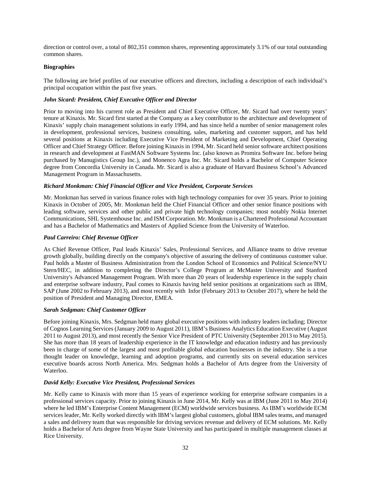direction or control over, a total of 802,351 common shares, representing approximately 3.1% of our total outstanding common shares.

## **Biographies**

The following are brief profiles of our executive officers and directors, including a description of each individual's principal occupation within the past five years.

## *John Sicard: President, Chief Executive Officer and Director*

Prior to moving into his current role as President and Chief Executive Officer, Mr. Sicard had over twenty years' tenure at Kinaxis. Mr. Sicard first started at the Company as a key contributor to the architecture and development of Kinaxis' supply chain management solutions in early 1994, and has since held a number of senior management roles in development, professional services, business consulting, sales, marketing and customer support, and has held several positions at Kinaxis including Executive Vice President of Marketing and Development, Chief Operating Officer and Chief Strategy Officer. Before joining Kinaxis in 1994, Mr. Sicard held senior software architect positions in research and development at FastMAN Software Systems Inc. (also known as Promira Software Inc. before being purchased by Manugistics Group Inc.), and Monenco Agra Inc. Mr. Sicard holds a Bachelor of Computer Science degree from Concordia University in Canada. Mr. Sicard is also a graduate of Harvard Business School's Advanced Management Program in Massachusetts.

## *Richard Monkman: Chief Financial Officer and Vice President, Corporate Services*

Mr. Monkman has served in various finance roles with high technology companies for over 35 years. Prior to joining Kinaxis in October of 2005, Mr. Monkman held the Chief Financial Officer and other senior finance positions with leading software, services and other public and private high technology companies; most notably Nokia Internet Communications, SHL Systemhouse Inc. and ISM Corporation. Mr. Monkman is a Chartered Professional Accountant and has a Bachelor of Mathematics and Masters of Applied Science from the University of Waterloo.

## *Paul Carreiro: Chief Revenue Officer*

As Chief Revenue Officer, Paul leads Kinaxis' Sales, Professional Services, and Alliance teams to drive revenue growth globally, building directly on the company's objective of assuring the delivery of continuous customer value. Paul holds a Master of Business Administration from the London School of Economics and Political Science/NYU Stern/HEC, in addition to completing the Director's College Program at McMaster University and Stanford University's Advanced Management Program. With more than 20 years of leadership experience in the supply chain and enterprise software industry, Paul comes to Kinaxis having held senior positions at organizations such as IBM, SAP (June 2002 to February 2013), and most recently with Infor (February 2013 to October 2017), where he held the position of President and Managing Director, EMEA.

## *Sarah Sedgman: Chief Customer Officer*

Before joining Kinaxis, Mrs. Sedgman held many global executive positions with industry leaders including; Director of Cognos Learning Services (January 2009 to August 2011), IBM's Business Analytics Education Executive (August 2011 to August 2013), and most recently the Senior Vice President of PTC University (September 2013 to May 2015). She has more than 18 years of leadership experience in the IT knowledge and education industry and has previously been in charge of some of the largest and most profitable global education businesses in the industry. She is a true thought leader on knowledge, learning and adoption programs, and currently sits on several education services executive boards across North America. Mrs. Sedgman holds a Bachelor of Arts degree from the University of Waterloo.

#### *David Kelly: Executive Vice President, Professional Services*

Mr. Kelly came to Kinaxis with more than 15 years of experience working for enterprise software companies in a professional services capacity. Prior to joining Kinaxis in June 2014, Mr. Kelly was at IBM (June 2011 to May 2014) where he led IBM's Enterprise Content Management (ECM) worldwide services business. As IBM's worldwide ECM services leader, Mr. Kelly worked directly with IBM's largest global customers, global IBM sales teams, and managed a sales and delivery team that was responsible for driving services revenue and delivery of ECM solutions. Mr. Kelly holds a Bachelor of Arts degree from Wayne State University and has participated in multiple management classes at Rice University.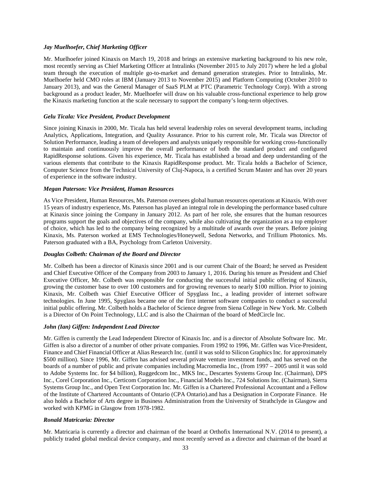## *Jay Muelhoefer, Chief Marketing Officer*

Mr. Muelhoefer joined Kinaxis on March 19, 2018 and brings an extensive marketing background to his new role, most recently serving as Chief Marketing Officer at Intralinks (November 2015 to July 2017) where he led a global team through the execution of multiple go-to-market and demand generation strategies. Prior to Intralinks, Mr. Muelhoefer held CMO roles at IBM (January 2013 to November 2015) and Platform Computing (October 2010 to January 2013), and was the General Manager of SaaS PLM at PTC (Parametric Technology Corp). With a strong background as a product leader, Mr. Muelhoefer will draw on his valuable cross-functional experience to help grow the Kinaxis marketing function at the scale necessary to support the company's long-term objectives.

## *Gelu Ticala: Vice President, Product Development*

Since joining Kinaxis in 2000, Mr. Ticala has held several leadership roles on several development teams, including Analytics, Applications, Integration, and Quality Assurance. Prior to his current role, Mr. Ticala was Director of Solution Performance, leading a team of developers and analysts uniquely responsible for working cross-functionally to maintain and continuously improve the overall performance of both the standard product and configured RapidResponse solutions. Given his experience, Mr. Ticala has established a broad and deep understanding of the various elements that contribute to the Kinaxis RapidResponse product. Mr. Ticala holds a Bachelor of Science, Computer Science from the Technical University of Cluj-Napoca, is a certified Scrum Master and has over 20 years of experience in the software industry.

#### *Megan Paterson: Vice President, Human Resources*

As Vice President, Human Resources, Ms. Paterson oversees global human resources operations at Kinaxis. With over 15 years of industry experience, Ms. Paterson has played an integral role in developing the performance based culture at Kinaxis since joining the Company in January 2012. As part of her role, she ensures that the human resources programs support the goals and objectives of the company, while also cultivating the organization as a top employer of choice, which has led to the company being recognized by a multitude of awards over the years. Before joining Kinaxis, Ms. Paterson worked at EMS Technologies/Honeywell, Sedona Networks, and Trillium Photonics. Ms. Paterson graduated with a BA, Psychology from Carleton University.

#### *Douglas Colbeth: Chairman of the Board and Director*

Mr. Colbeth has been a director of Kinaxis since 2001 and is our current Chair of the Board; he served as President and Chief Executive Officer of the Company from 2003 to January 1, 2016. During his tenure as President and Chief Executive Officer, Mr. Colbeth was responsible for conducting the successful initial public offering of Kinaxis, growing the customer base to over 100 customers and for growing revenues to nearly \$100 million. Prior to joining Kinaxis, Mr. Colbeth was Chief Executive Officer of Spyglass Inc., a leading provider of internet software technologies. In June 1995, Spyglass became one of the first internet software companies to conduct a successful initial public offering. Mr. Colbeth holds a Bachelor of Science degree from Siena College in New York. Mr. Colbeth is a Director of On Point Technology, LLC and is also the Chairman of the board of MedCircle Inc.

#### *John (Ian) Giffen: Independent Lead Director*

Mr. Giffen is currently the Lead Independent Director of Kinaxis Inc. and is a director of Absolute Software Inc. Mr. Giffen is also a director of a number of other private companies. From 1992 to 1996, Mr. Giffen was Vice-President, Finance and Chief Financial Officer at Alias Research Inc. (until it was sold to Silicon Graphics Inc. for approximately \$500 million). Since 1996, Mr. Giffen has advised several private venture investment funds, and has served on the boards of a number of public and private companies including Macromedia Inc., (from 1997 – 2005 until it was sold to Adobe Systems Inc. for \$4 billion), Ruggedcom Inc., MKS Inc., Descartes Systems Group Inc. (Chairman), DPS Inc., Corel Corporation Inc., Certicom Corporation Inc., Financial Models Inc., 724 Solutions Inc. (Chairman), Sierra Systems Group Inc., and Open Text Corporation Inc. Mr. Giffen is a Chartered Professional Accountant and a Fellow of the Institute of Chartered Accountants of Ontario (CPA Ontario).and has a Designation in Corporate Finance. He also holds a Bachelor of Arts degree in Business Administration from the University of Strathclyde in Glasgow and worked with KPMG in Glasgow from 1978-1982.

#### *Ronald Matricaria: Director*

Mr. Matricaria is currently a director and chairman of the board at Orthofix International N.V. (2014 to present), a publicly traded global medical device company, and most recently served as a director and chairman of the board at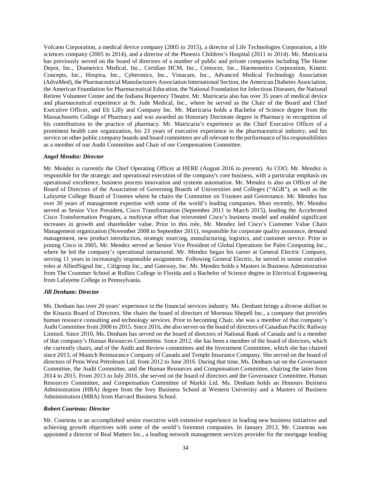Volcano Corporation, a medical device company (2005 to 2015), a director of Life Technologies Corporation, a life sciences company (2005 to 2014), and a director of the Phoenix Children's Hospital (2011 to 2014). Mr. Matricaria has previously served on the board of directors of a number of public and private companies including The Home Depot, Inc., Diametrics Medical, Inc., Ceridian HCM, Inc., Centocor, Inc., Haemonetics Corporation, Kinetic Concepts, Inc., Hospira, Inc., Cyberonics, Inc., Vistacare, Inc., Advanced Medical Technology Association (AdvaMed), the Pharmaceutical Manufacturers Association International Section, the American Diabetes Association, the American Foundation for Pharmaceutical Education, the National Foundation for Infectious Diseases, the National Retiree Volunteer Center and the Indiana Repertory Theatre. Mr. Matricaria also has over 35 years of medical device and pharmaceutical experience at St. Jude Medical, Inc., where he served as the Chair of the Board and Chief Executive Officer, and Eli Lilly and Company Inc. Mr. Matricaria holds a Bachelor of Science degree from the Massachusetts College of Pharmacy and was awarded an Honorary Doctorate degree in Pharmacy in recognition of his contributions to the practice of pharmacy. Mr. Matricaria's experience as the Chief Executive Officer of a prominent health care organization, his 23 years of executive experience in the pharmaceutical industry, and his service on other public company boards and board committees are all relevant to the performance of his responsibilities as a member of our Audit Committee and Chair of our Compensation Committee.

#### *Angel Mendez: Director*

Mr. Mendez is currently the Chief Operating Officer at HERE (August 2016 to present). As COO, Mr. Mendez is responsible for the strategic and operational execution of the company's core business, with a particular emphasis on operational excellence, business process innovation and systems automation. Mr. Mendez is also an Officer of the Board of Directors of the Association of Governing Boards of Universities and Colleges ("AGB"), as well as the Lafayette College Board of Trustees where he chairs the Committee on Trustees and Governance. Mr. Mendez has over 30 years of management expertise with some of the world's leading companies. Most recently, Mr. Mendez served as Senior Vice President, Cisco Transformation (September 2011 to March 2015), leading the Accelerated Cisco Transformation Program, a multiyear effort that reinvented Cisco's business model and enabled significant increases in growth and shareholder value. Prior to this role, Mr. Mendez led Cisco's Customer Value Chain Management organization (November 2008 to September 2011), responsible for corporate quality assurance, demand management, new product introduction, strategic sourcing, manufacturing, logistics, and customer service. Prior to joining Cisco in 2005, Mr. Mendez served as Senior Vice President of Global Operations for Palm Computing Inc., where he led the company's operational turnaround. Mr. Mendez began his career at General Electric Company, serving 11 years in increasingly responsible assignments. Following General Electric, he served in senior executive roles at AlliedSignal Inc., Citigroup Inc., and Gateway, Inc. Mr. Mendez holds a Masters in Business Administration from The Crummer School at Rollins College in Florida and a Bachelor of Science degree in Electrical Engineering from Lafayette College in Pennsylvania.

#### *Jill Denham: Director*

Ms. Denham has over 20 years' experience in the financial services industry. Ms. Denham brings a diverse skillset to the Kinaxis Board of Directors. She chairs the board of directors of Morneau Shepell Inc., a company that provides human resource consulting and technology services. Prior to becoming Chair, she was a member of that company's Audit Committee from 2008 to 2015. Since 2016, she also serves on the board of directors of Canadian Pacific Railway Limited. Since 2010, Ms. Denham has served on the board of directors of National Bank of Canada and is a member of that company's Human Resources Committee. Since 2012, she has been a member of the board of directors, which she currently chairs, and of the Audit and Review committees and the Investment Committee, which she has chaired since 2013, of Munich Reinsurance Company of Canada and Temple Insurance Company. She served on the board of directors of Penn West Petroleum Ltd. from 2012 to June 2016. During that time, Ms. Denham sat on the Governance Committee, the Audit Committee, and the Human Resources and Compensation Committee, chairing the latter from 2014 to 2015. From 2013 to July 2016, she served on the board of directors and the Governance Committee, Human Resources Committee, and Compensation Committee of Markit Ltd. Ms. Denham holds an Honours Business Administration (HBA) degree from the Ivey Business School at Western University and a Masters of Business Administration (MBA) from Harvard Business School.

#### *Robert Courteau: Director*

Mr. Courteau is an accomplished senior executive with extensive experience in leading new business initiatives and achieving growth objectives with some of the world's foremost companies. In January 2013, Mr. Courteau was appointed a director of Real Matters Inc., a leading network management services provider for the mortgage lending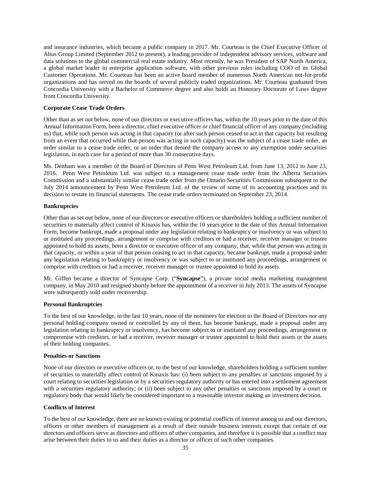and insurance industries, which became a public company in 2017. Mr. Courteau is the Chief Executive Officer of Altus Group Limited (September 2012 to present), a leading provider of independent advisory services, software and data solutions to the global commercial real estate industry. Most recently, he was President of SAP North America, a global market leader in enterprise application software, with other previous roles including COO of its Global Customer Operations. Mr. Courteau has been an active board member of numerous North American not-for-profit organizations and has served on the boards of several publicly traded organizations. Mr. Courteau graduated from Concordia University with a Bachelor of Commerce degree and also holds an Honorary Doctorate of Laws degree from Concordia University.

## **Corporate Cease Trade Orders**

Other than as set out below, none of our directors or executive officers has, within the 10 years prior to the date of this Annual Information Form, been a director, chief executive officer or chief financial officer of any company (including us) that, while such person was acting in that capacity (or after such person ceased to act in that capacity but resulting from an event that occurred while that person was acting in such capacity) was the subject of a cease trade order, an order similar to a cease trade order, or an order that denied the company access to any exemption under securities legislation, in each case for a period of more than 30 consecutive days.

Ms. Denham was a member of the Board of Directors of Penn West Petroleum Ltd. from June 13, 2012 to June 23, 2016. Penn West Petroleum Ltd. was subject to a management cease trade order from the Alberta Securities Commission and a substantially similar cease trade order from the Ontario Securities Commission subsequent to the July 2014 announcement by Penn West Petroleum Ltd. of the review of some of its accounting practices and its decision to restate its financial statements. The cease trade orders terminated on September 23, 2014.

#### **Bankruptcies**

Other than as set out below, none of our directors or executive officers or shareholders holding a sufficient number of securities to materially affect control of Kinaxis has, within the 10 years prior to the date of this Annual Information Form, become bankrupt, made a proposal under any legislation relating to bankruptcy or insolvency or was subject to or instituted any proceedings, arrangement or comprise with creditors or had a receiver, receiver manager or trustee appointed to hold its assets, been a director or executive officer of any company, that, while that person was acting in that capacity, or within a year of that person ceasing to act in that capacity, became bankrupt, made a proposal under any legislation relating to bankruptcy or insolvency or was subject to or instituted any proceedings, arrangement or comprise with creditors or had a receiver, receiver manager or trustee appointed to hold its assets.

Mr. Giffen became a director of Syncapse Corp. ("**Syncapse**"), a private social media marketing management company, in May 2010 and resigned shortly before the appointment of a receiver in July 2013. The assets of Syncapse were subsequently sold under receivership.

#### **Personal Bankruptcies**

To the best of our knowledge, in the last 10 years, none of the nominees for election to the Board of Directors nor any personal holding company owned or controlled by any of them, has become bankrupt, made a proposal under any legislation relating to bankruptcy or insolvency, has become subject to or instituted any proceedings, arrangement or compromise with creditors, or had a receiver, receiver manager or trustee appointed to hold their assets or the assets of their holding companies.

#### **Penalties or Sanctions**

None of our directors or executive officers or, to the best of our knowledge, shareholders holding a sufficient number of securities to materially affect control of Kinaxis has: (i) been subject to any penalties or sanctions imposed by a court relating to securities legislation or by a securities regulatory authority or has entered into a settlement agreement with a securities regulatory authority; or (ii) been subject to any other penalties or sanctions imposed by a court or regulatory body that would likely be considered important to a reasonable investor making an investment decision.

#### **Conflicts of Interest**

To the best of our knowledge, there are no known existing or potential conflicts of interest among us and our directors, officers or other members of management as a result of their outside business interests except that certain of our directors and officers serve as directors and officers of other companies, and therefore it is possible that a conflict may arise between their duties to us and their duties as a director or officer of such other companies.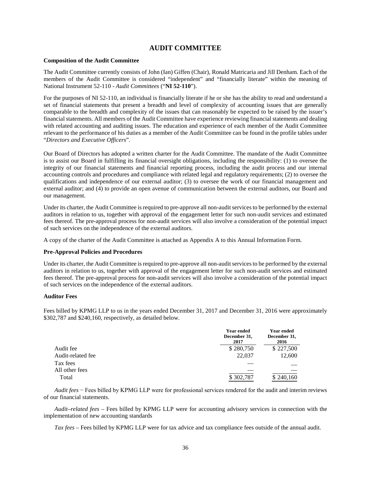# **AUDIT COMMITTEE**

#### <span id="page-35-0"></span>**Composition of the Audit Committee**

The Audit Committee currently consists of John (Ian) Giffen (Chair), Ronald Matricaria and Jill Denham. Each of the members of the Audit Committee is considered "independent" and "financially literate" within the meaning of National Instrument 52-110 - *Audit Committees* ("**NI 52-110**").

For the purposes of NI 52-110, an individual is financially literate if he or she has the ability to read and understand a set of financial statements that present a breadth and level of complexity of accounting issues that are generally comparable to the breadth and complexity of the issues that can reasonably be expected to be raised by the issuer's financial statements. All members of the Audit Committee have experience reviewing financial statements and dealing with related accounting and auditing issues. The education and experience of each member of the Audit Committee relevant to the performance of his duties as a member of the Audit Committee can be found in the profile tables under "*Directors and Executive Officers*".

Our Board of Directors has adopted a written charter for the Audit Committee. The mandate of the Audit Committee is to assist our Board in fulfilling its financial oversight obligations, including the responsibility: (1) to oversee the integrity of our financial statements and financial reporting process, including the audit process and our internal accounting controls and procedures and compliance with related legal and regulatory requirements; (2) to oversee the qualifications and independence of our external auditor; (3) to oversee the work of our financial management and external auditor; and (4) to provide an open avenue of communication between the external auditors, our Board and our management.

Under its charter, the Audit Committee is required to pre-approve all non-audit services to be performed by the external auditors in relation to us, together with approval of the engagement letter for such non-audit services and estimated fees thereof. The pre-approval process for non-audit services will also involve a consideration of the potential impact of such services on the independence of the external auditors.

A copy of the charter of the Audit Committee is attached as Appendix A to this Annual Information Form.

#### **Pre-Approval Policies and Procedures**

Under its charter, the Audit Committee is required to pre-approve all non-audit services to be performed by the external auditors in relation to us, together with approval of the engagement letter for such non-audit services and estimated fees thereof. The pre-approval process for non-audit services will also involve a consideration of the potential impact of such services on the independence of the external auditors.

## **Auditor Fees**

Fees billed by KPMG LLP to us in the years ended December 31, 2017 and December 31, 2016 were approximately \$302,787 and \$240,160, respectively, as detailed below.

|                   | <b>Year ended</b><br>December 31,<br>2017 | <b>Year ended</b><br>December 31,<br>2016 |
|-------------------|-------------------------------------------|-------------------------------------------|
| Audit fee         | \$280,750                                 | \$227,500                                 |
| Audit-related fee | 22,037                                    | 12,600                                    |
| Tax fees          |                                           |                                           |
| All other fees    |                                           |                                           |
| Total             | \$302,787                                 | \$240,160                                 |

*Audit fees* − Fees billed by KPMG LLP were for professional services rendered for the audit and interim reviews of our financial statements.

*Audit–related fees* – Fees billed by KPMG LLP were for accounting advisory services in connection with the implementation of new accounting standards

*Tax fees* – Fees billed by KPMG LLP were for tax advice and tax compliance fees outside of the annual audit.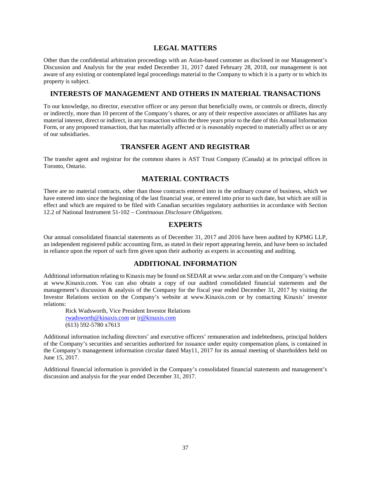# **LEGAL MATTERS**

<span id="page-36-0"></span>Other than the confidential arbitration proceedings with an Asian-based customer as disclosed in our Management's Discussion and Analysis for the year ended December 31, 2017 dated February 28, 2018, our management is not aware of any existing or contemplated legal proceedings material to the Company to which it is a party or to which its property is subject.

## <span id="page-36-1"></span>**INTERESTS OF MANAGEMENT AND OTHERS IN MATERIAL TRANSACTIONS**

To our knowledge, no director, executive officer or any person that beneficially owns, or controls or directs, directly or indirectly, more than 10 percent of the Company's shares, or any of their respective associates or affiliates has any material interest, direct or indirect, in any transaction within the three years prior to the date of this Annual Information Form, or any proposed transaction, that has materially affected or is reasonably expected to materially affect us or any of our subsidiaries.

# **TRANSFER AGENT AND REGISTRAR**

<span id="page-36-3"></span><span id="page-36-2"></span>The transfer agent and registrar for the common shares is AST Trust Company (Canada) at its principal offices in Toronto, Ontario.

# **MATERIAL CONTRACTS**

There are no material contracts, other than those contracts entered into in the ordinary course of business, which we have entered into since the beginning of the last financial year, or entered into prior to such date, but which are still in effect and which are required to be filed with Canadian securities regulatory authorities in accordance with Section 12.2 of National Instrument 51-102 – *Continuous Disclosure Obligations.*

# **EXPERTS**

<span id="page-36-4"></span>Our annual consolidated financial statements as of December 31, 2017 and 2016 have been audited by KPMG LLP, an independent registered public accounting firm, as stated in their report appearing herein, and have been so included in reliance upon the report of such firm given upon their authority as experts in accounting and auditing.

# **ADDITIONAL INFORMATION**

<span id="page-36-5"></span>Additional information relating to Kinaxis may be found on SEDAR at www.sedar.com and on the Company's website at www.Kinaxis.com. You can also obtain a copy of our audited consolidated financial statements and the management's discussion & analysis of the Company for the fiscal year ended December 31, 2017 by visiting the Investor Relations section on the Company's website at www.Kinaxis.com or by contacting Kinaxis' investor relations:

Rick Wadsworth, Vice President Investor Relations [rwadsworth@kinaxis.com](mailto:rwadsworth@kinaxis.com) or [ir@kinaxis.com](mailto:ir@kinaxis.com) (613) 592-5780 x7613

Additional information including directors' and executive officers' remuneration and indebtedness, principal holders of the Company's securities and securities authorized for issuance under equity compensation plans, is contained in the Company's management information circular dated May11, 2017 for its annual meeting of shareholders held on June 15, 2017.

Additional financial information is provided in the Company's consolidated financial statements and management's discussion and analysis for the year ended December 31, 2017.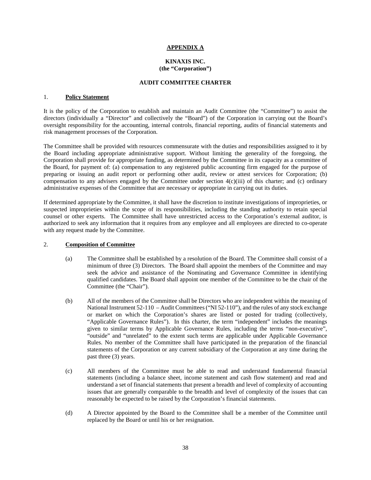## **APPENDIX A**

#### **KINAXIS INC. (the "Corporation")**

#### **AUDIT COMMITTEE CHARTER**

#### 1. **Policy Statement**

It is the policy of the Corporation to establish and maintain an Audit Committee (the "Committee") to assist the directors (individually a "Director" and collectively the "Board") of the Corporation in carrying out the Board's oversight responsibility for the accounting, internal controls, financial reporting, audits of financial statements and risk management processes of the Corporation.

The Committee shall be provided with resources commensurate with the duties and responsibilities assigned to it by the Board including appropriate administrative support. Without limiting the generality of the foregoing, the Corporation shall provide for appropriate funding, as determined by the Committee in its capacity as a committee of the Board, for payment of: (a) compensation to any registered public accounting firm engaged for the purpose of preparing or issuing an audit report or performing other audit, review or attest services for Corporation; (b) compensation to any advisers engaged by the Committee under section  $4(c)(iii)$  of this charter; and (c) ordinary administrative expenses of the Committee that are necessary or appropriate in carrying out its duties.

If determined appropriate by the Committee, it shall have the discretion to institute investigations of improprieties, or suspected improprieties within the scope of its responsibilities, including the standing authority to retain special counsel or other experts. The Committee shall have unrestricted access to the Corporation's external auditor, is authorized to seek any information that it requires from any employee and all employees are directed to co-operate with any request made by the Committee.

#### 2. **Composition of Committee**

- (a) The Committee shall be established by a resolution of the Board. The Committee shall consist of a minimum of three (3) Directors. The Board shall appoint the members of the Committee and may seek the advice and assistance of the Nominating and Governance Committee in identifying qualified candidates. The Board shall appoint one member of the Committee to be the chair of the Committee (the "Chair").
- (b) All of the members of the Committee shall be Directors who are independent within the meaning of National Instrument 52-110 – Audit Committees ("NI 52-110"), and the rules of any stock exchange or market on which the Corporation's shares are listed or posted for trading (collectively, "Applicable Governance Rules"). In this charter, the term "independent" includes the meanings given to similar terms by Applicable Governance Rules, including the terms "non-executive", "outside" and "unrelated" to the extent such terms are applicable under Applicable Governance Rules. No member of the Committee shall have participated in the preparation of the financial statements of the Corporation or any current subsidiary of the Corporation at any time during the past three (3) years.
- (c) All members of the Committee must be able to read and understand fundamental financial statements (including a balance sheet, income statement and cash flow statement) and read and understand a set of financial statements that present a breadth and level of complexity of accounting issues that are generally comparable to the breadth and level of complexity of the issues that can reasonably be expected to be raised by the Corporation's financial statements.
- (d) A Director appointed by the Board to the Committee shall be a member of the Committee until replaced by the Board or until his or her resignation.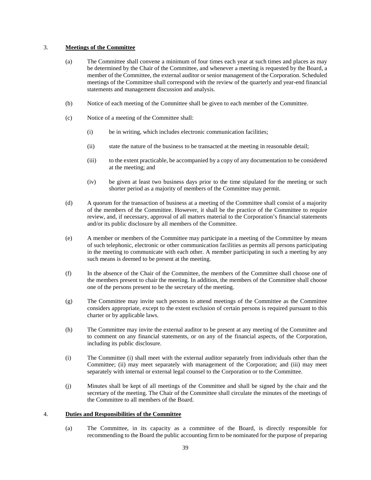## 3. **Meetings of the Committee**

- (a) The Committee shall convene a minimum of four times each year at such times and places as may be determined by the Chair of the Committee, and whenever a meeting is requested by the Board, a member of the Committee, the external auditor or senior management of the Corporation. Scheduled meetings of the Committee shall correspond with the review of the quarterly and year-end financial statements and management discussion and analysis.
- (b) Notice of each meeting of the Committee shall be given to each member of the Committee.
- (c) Notice of a meeting of the Committee shall:
	- (i) be in writing, which includes electronic communication facilities;
	- (ii) state the nature of the business to be transacted at the meeting in reasonable detail;
	- (iii) to the extent practicable, be accompanied by a copy of any documentation to be considered at the meeting; and
	- (iv) be given at least two business days prior to the time stipulated for the meeting or such shorter period as a majority of members of the Committee may permit.
- (d) A quorum for the transaction of business at a meeting of the Committee shall consist of a majority of the members of the Committee. However, it shall be the practice of the Committee to require review, and, if necessary, approval of all matters material to the Corporation's financial statements and/or its public disclosure by all members of the Committee.
- (e) A member or members of the Committee may participate in a meeting of the Committee by means of such telephonic, electronic or other communication facilities as permits all persons participating in the meeting to communicate with each other. A member participating in such a meeting by any such means is deemed to be present at the meeting.
- (f) In the absence of the Chair of the Committee, the members of the Committee shall choose one of the members present to chair the meeting. In addition, the members of the Committee shall choose one of the persons present to be the secretary of the meeting.
- (g) The Committee may invite such persons to attend meetings of the Committee as the Committee considers appropriate, except to the extent exclusion of certain persons is required pursuant to this charter or by applicable laws.
- (h) The Committee may invite the external auditor to be present at any meeting of the Committee and to comment on any financial statements, or on any of the financial aspects, of the Corporation, including its public disclosure.
- (i) The Committee (i) shall meet with the external auditor separately from individuals other than the Committee; (ii) may meet separately with management of the Corporation; and (iii) may meet separately with internal or external legal counsel to the Corporation or to the Committee.
- (j) Minutes shall be kept of all meetings of the Committee and shall be signed by the chair and the secretary of the meeting. The Chair of the Committee shall circulate the minutes of the meetings of the Committee to all members of the Board.

#### 4. **Duties and Responsibilities of the Committee**

(a) The Committee, in its capacity as a committee of the Board, is directly responsible for recommending to the Board the public accounting firm to be nominated for the purpose of preparing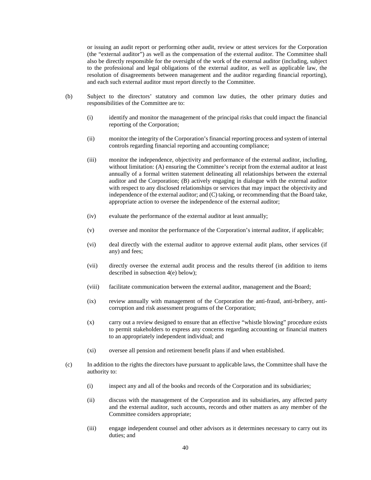or issuing an audit report or performing other audit, review or attest services for the Corporation (the "external auditor") as well as the compensation of the external auditor. The Committee shall also be directly responsible for the oversight of the work of the external auditor (including, subject to the professional and legal obligations of the external auditor, as well as applicable law, the resolution of disagreements between management and the auditor regarding financial reporting), and each such external auditor must report directly to the Committee.

- (b) Subject to the directors' statutory and common law duties, the other primary duties and responsibilities of the Committee are to:
	- (i) identify and monitor the management of the principal risks that could impact the financial reporting of the Corporation;
	- (ii) monitor the integrity of the Corporation's financial reporting process and system of internal controls regarding financial reporting and accounting compliance;
	- (iii) monitor the independence, objectivity and performance of the external auditor, including, without limitation: (A) ensuring the Committee's receipt from the external auditor at least annually of a formal written statement delineating all relationships between the external auditor and the Corporation; (B) actively engaging in dialogue with the external auditor with respect to any disclosed relationships or services that may impact the objectivity and independence of the external auditor; and (C) taking, or recommending that the Board take, appropriate action to oversee the independence of the external auditor;
	- (iv) evaluate the performance of the external auditor at least annually;
	- (v) oversee and monitor the performance of the Corporation's internal auditor, if applicable;
	- (vi) deal directly with the external auditor to approve external audit plans, other services (if any) and fees;
	- (vii) directly oversee the external audit process and the results thereof (in addition to items described in subsection 4(e) below);
	- (viii) facilitate communication between the external auditor, management and the Board;
	- (ix) review annually with management of the Corporation the anti-fraud, anti-bribery, anticorruption and risk assessment programs of the Corporation;
	- (x) carry out a review designed to ensure that an effective "whistle blowing" procedure exists to permit stakeholders to express any concerns regarding accounting or financial matters to an appropriately independent individual; and
	- (xi) oversee all pension and retirement benefit plans if and when established.
- (c) In addition to the rights the directors have pursuant to applicable laws, the Committee shall have the authority to:
	- (i) inspect any and all of the books and records of the Corporation and its subsidiaries;
	- (ii) discuss with the management of the Corporation and its subsidiaries, any affected party and the external auditor, such accounts, records and other matters as any member of the Committee considers appropriate;
	- (iii) engage independent counsel and other advisors as it determines necessary to carry out its duties; and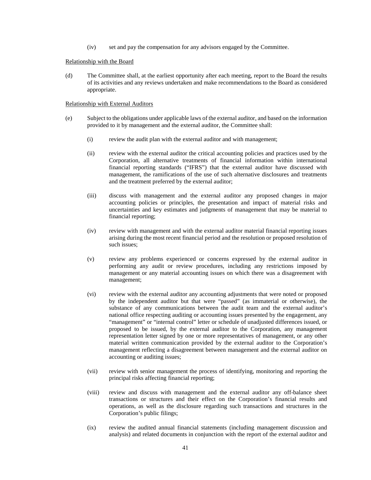(iv) set and pay the compensation for any advisors engaged by the Committee.

#### Relationship with the Board

(d) The Committee shall, at the earliest opportunity after each meeting, report to the Board the results of its activities and any reviews undertaken and make recommendations to the Board as considered appropriate.

#### Relationship with External Auditors

- (e) Subject to the obligations under applicable laws of the external auditor, and based on the information provided to it by management and the external auditor, the Committee shall:
	- (i) review the audit plan with the external auditor and with management;
	- (ii) review with the external auditor the critical accounting policies and practices used by the Corporation, all alternative treatments of financial information within international financial reporting standards ("IFRS") that the external auditor have discussed with management, the ramifications of the use of such alternative disclosures and treatments and the treatment preferred by the external auditor;
	- (iii) discuss with management and the external auditor any proposed changes in major accounting policies or principles, the presentation and impact of material risks and uncertainties and key estimates and judgments of management that may be material to financial reporting;
	- (iv) review with management and with the external auditor material financial reporting issues arising during the most recent financial period and the resolution or proposed resolution of such issues;
	- (v) review any problems experienced or concerns expressed by the external auditor in performing any audit or review procedures, including any restrictions imposed by management or any material accounting issues on which there was a disagreement with management;
	- (vi) review with the external auditor any accounting adjustments that were noted or proposed by the independent auditor but that were "passed" (as immaterial or otherwise), the substance of any communications between the audit team and the external auditor's national office respecting auditing or accounting issues presented by the engagement, any "management" or "internal control" letter or schedule of unadjusted differences issued, or proposed to be issued, by the external auditor to the Corporation, any management representation letter signed by one or more representatives of management, or any other material written communication provided by the external auditor to the Corporation's management reflecting a disagreement between management and the external auditor on accounting or auditing issues;
	- (vii) review with senior management the process of identifying, monitoring and reporting the principal risks affecting financial reporting;
	- (viii) review and discuss with management and the external auditor any off-balance sheet transactions or structures and their effect on the Corporation's financial results and operations, as well as the disclosure regarding such transactions and structures in the Corporation's public filings;
	- (ix) review the audited annual financial statements (including management discussion and analysis) and related documents in conjunction with the report of the external auditor and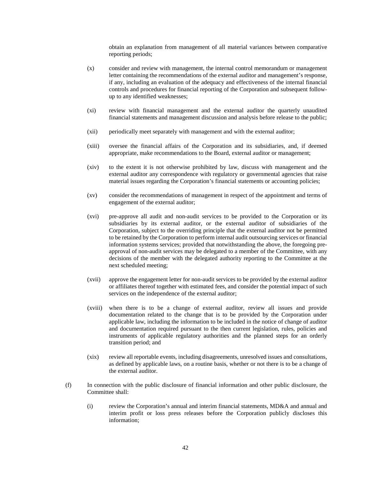obtain an explanation from management of all material variances between comparative reporting periods;

- (x) consider and review with management, the internal control memorandum or management letter containing the recommendations of the external auditor and management's response, if any, including an evaluation of the adequacy and effectiveness of the internal financial controls and procedures for financial reporting of the Corporation and subsequent followup to any identified weaknesses;
- (xi) review with financial management and the external auditor the quarterly unaudited financial statements and management discussion and analysis before release to the public;
- (xii) periodically meet separately with management and with the external auditor;
- (xiii) oversee the financial affairs of the Corporation and its subsidiaries, and, if deemed appropriate, make recommendations to the Board, external auditor or management;
- (xiv) to the extent it is not otherwise prohibited by law, discuss with management and the external auditor any correspondence with regulatory or governmental agencies that raise material issues regarding the Corporation's financial statements or accounting policies;
- (xv) consider the recommendations of management in respect of the appointment and terms of engagement of the external auditor;
- (xvi) pre-approve all audit and non-audit services to be provided to the Corporation or its subsidiaries by its external auditor, or the external auditor of subsidiaries of the Corporation, subject to the overriding principle that the external auditor not be permitted to be retained by the Corporation to perform internal audit outsourcing services or financial information systems services; provided that notwithstanding the above, the foregoing preapproval of non-audit services may be delegated to a member of the Committee, with any decisions of the member with the delegated authority reporting to the Committee at the next scheduled meeting;
- (xvii) approve the engagement letter for non-audit services to be provided by the external auditor or affiliates thereof together with estimated fees, and consider the potential impact of such services on the independence of the external auditor;
- (xviii) when there is to be a change of external auditor, review all issues and provide documentation related to the change that is to be provided by the Corporation under applicable law, including the information to be included in the notice of change of auditor and documentation required pursuant to the then current legislation, rules, policies and instruments of applicable regulatory authorities and the planned steps for an orderly transition period; and
- (xix) review all reportable events, including disagreements, unresolved issues and consultations, as defined by applicable laws, on a routine basis, whether or not there is to be a change of the external auditor.
- <span id="page-41-0"></span>(f) In connection with the public disclosure of financial information and other public disclosure, the Committee shall:
	- (i) review the Corporation's annual and interim financial statements, MD&A and annual and interim profit or loss press releases before the Corporation publicly discloses this information;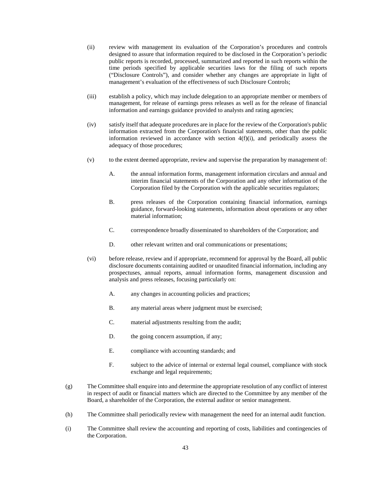- (ii) review with management its evaluation of the Corporation's procedures and controls designed to assure that information required to be disclosed in the Corporation's periodic public reports is recorded, processed, summarized and reported in such reports within the time periods specified by applicable securities laws for the filing of such reports ("Disclosure Controls"), and consider whether any changes are appropriate in light of management's evaluation of the effectiveness of such Disclosure Controls;
- (iii) establish a policy, which may include delegation to an appropriate member or members of management, for release of earnings press releases as well as for the release of financial information and earnings guidance provided to analysts and rating agencies;
- (iv) satisfy itself that adequate procedures are in place for the review of the Corporation's public information extracted from the Corporation's financial statements, other than the public information reviewed in accordance with section  $4(f)(i)$ , and periodically assess the adequacy of those procedures;
- (v) to the extent deemed appropriate, review and supervise the preparation by management of:
	- A. the annual information forms, management information circulars and annual and interim financial statements of the Corporation and any other information of the Corporation filed by the Corporation with the applicable securities regulators;
	- B. press releases of the Corporation containing financial information, earnings guidance, forward-looking statements, information about operations or any other material information;
	- C. correspondence broadly disseminated to shareholders of the Corporation; and
	- D. other relevant written and oral communications or presentations;
- (vi) before release, review and if appropriate, recommend for approval by the Board, all public disclosure documents containing audited or unaudited financial information, including any prospectuses, annual reports, annual information forms, management discussion and analysis and press releases, focusing particularly on:
	- A. any changes in accounting policies and practices;
	- B. any material areas where judgment must be exercised;
	- C. material adjustments resulting from the audit;
	- D. the going concern assumption, if any;
	- E. compliance with accounting standards; and
	- F. subject to the advice of internal or external legal counsel, compliance with stock exchange and legal requirements;
- (g) The Committee shall enquire into and determine the appropriate resolution of any conflict of interest in respect of audit or financial matters which are directed to the Committee by any member of the Board, a shareholder of the Corporation, the external auditor or senior management.
- (h) The Committee shall periodically review with management the need for an internal audit function.
- (i) The Committee shall review the accounting and reporting of costs, liabilities and contingencies of the Corporation.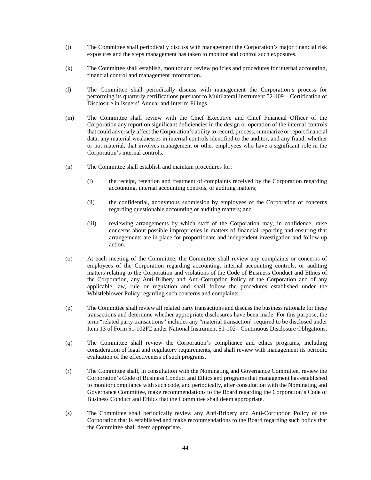- (j) The Committee shall periodically discuss with management the Corporation's major financial risk exposures and the steps management has taken to monitor and control such exposures.
- (k) The Committee shall establish, monitor and review policies and procedures for internal accounting, financial control and management information.
- (l) The Committee shall periodically discuss with management the Corporation's process for performing its quarterly certifications pursuant to Multilateral Instrument 52-109 – Certification of Disclosure in Issuers' Annual and Interim Filings.
- (m) The Committee shall review with the Chief Executive and Chief Financial Officer of the Corporation any report on significant deficiencies in the design or operation of the internal controls that could adversely affect the Corporation's ability to record, process, summarize or report financial data, any material weaknesses in internal controls identified to the auditor, and any fraud, whether or not material, that involves management or other employees who have a significant role in the Corporation's internal controls.
- (n) The Committee shall establish and maintain procedures for:
	- (i) the receipt, retention and treatment of complaints received by the Corporation regarding accounting, internal accounting controls, or auditing matters;
	- (ii) the confidential, anonymous submission by employees of the Corporation of concerns regarding questionable accounting or auditing matters; and
	- (iii) reviewing arrangements by which staff of the Corporation may, in confidence, raise concerns about possible improprieties in matters of financial reporting and ensuring that arrangements are in place for proportionate and independent investigation and follow-up action.
- (o) At each meeting of the Committee, the Committee shall review any complaints or concerns of employees of the Corporation regarding accounting, internal accounting controls, or auditing matters relating to the Corporation and violations of the Code of Business Conduct and Ethics of the Corporation, any Anti-Bribery and Anti-Corruption Policy of the Corporation and of any applicable law, rule or regulation and shall follow the procedures established under the Whistleblower Policy regarding such concerns and complaints.
- (p) The Committee shall review all related party transactions and discuss the business rationale for these transactions and determine whether appropriate disclosures have been made. For this purpose, the term "related party transactions" includes any "material transaction" required to be disclosed under Item 13 of Form 51-102F2 under National Instrument 51-102 - Continuous Disclosure Obligations**.**
- (q) The Committee shall review the Corporation's compliance and ethics programs, including consideration of legal and regulatory requirements, and shall review with management its periodic evaluation of the effectiveness of such programs.
- (r) The Committee shall, in consultation with the Nominating and Governance Committee, review the Corporation's Code of Business Conduct and Ethics and programs that management has established to monitor compliance with such code, and periodically, after consultation with the Nominating and Governance Committee, make recommendations to the Board regarding the Corporation's Code of Business Conduct and Ethics that the Committee shall deem appropriate.
- (s) The Committee shall periodically review any Anti-Bribery and Anti-Corruption Policy of the Corporation that is established and make recommendations to the Board regarding such policy that the Committee shall deem appropriate.